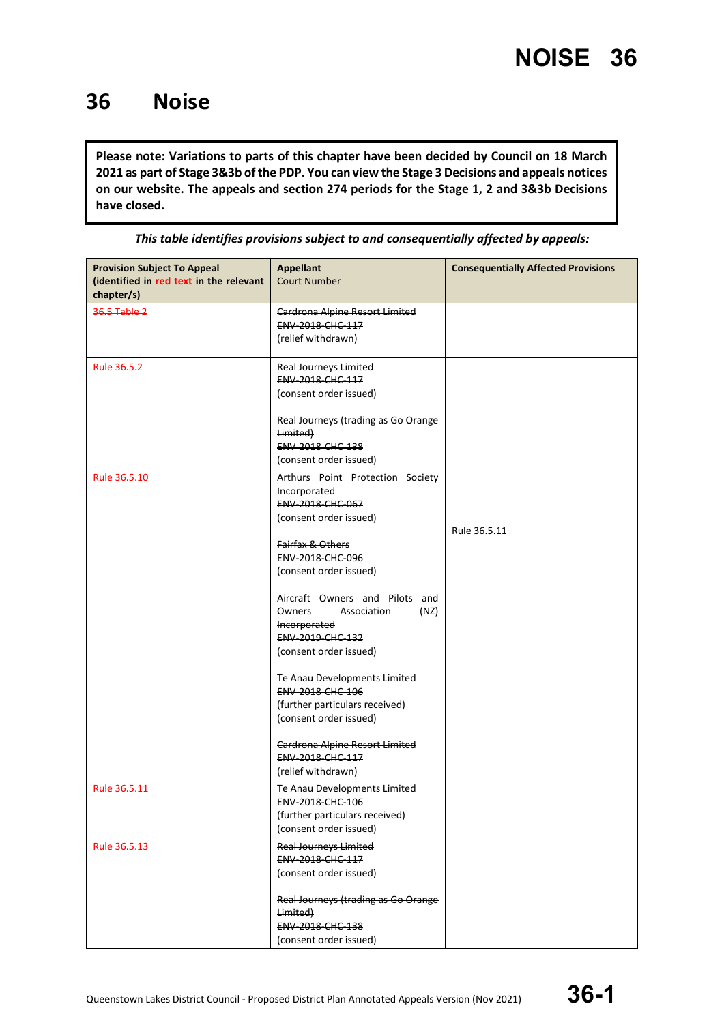#### **36 Noise**

**Please note: Variations to parts of this chapter have been decided by Council on 18 March 2021 as part of Stage 3&3b of the PDP. You can view the Stage 3 Decisions and appeals notices on our website. The appeals and section 274 periods for the Stage 1, 2 and 3&3b Decisions have closed.**

| <b>Provision Subject To Appeal</b><br>(identified in red text in the relevant<br>chapter/s) | <b>Appellant</b><br><b>Court Number</b>                                                                                                                                                                                                                                                                                                                                                                                                                                                    | <b>Consequentially Affected Provisions</b> |
|---------------------------------------------------------------------------------------------|--------------------------------------------------------------------------------------------------------------------------------------------------------------------------------------------------------------------------------------------------------------------------------------------------------------------------------------------------------------------------------------------------------------------------------------------------------------------------------------------|--------------------------------------------|
| 36.5 Table 2                                                                                | Cardrona Alpine Resort Limited<br>ENV-2018-CHC-117<br>(relief withdrawn)                                                                                                                                                                                                                                                                                                                                                                                                                   |                                            |
| Rule 36.5.2                                                                                 | <b>Real Journeys Limited</b><br>ENV-2018-CHC-117<br>(consent order issued)<br>Real Journeys (trading as Go Orange<br>Limited)<br>ENV-2018-CHC-138<br>(consent order issued)                                                                                                                                                                                                                                                                                                                |                                            |
| Rule 36.5.10                                                                                | Arthurs Point Protection Society<br>Incorporated<br>ENV-2018-CHC-067<br>(consent order issued)<br>Fairfax & Others<br>ENV-2018-CHC-096<br>(consent order issued)<br>Aircraft Owners and Pilots and<br>Owners Association<br>(MZ)<br>Incorporated<br>ENV-2019-CHC-132<br>(consent order issued)<br>Te Anau Developments Limited<br>ENV-2018-CHC-106<br>(further particulars received)<br>(consent order issued)<br>Cardrona Alpine Resort Limited<br>ENV-2018-CHC-117<br>(relief withdrawn) | Rule 36.5.11                               |
| Rule 36.5.11                                                                                | <b>Te Anau Developments Limited</b><br>ENV-2018-CHC-106<br>(further particulars received)<br>(consent order issued)                                                                                                                                                                                                                                                                                                                                                                        |                                            |
| Rule 36.5.13                                                                                | <b>Real Journeys Limited</b><br>ENV-2018-CHC-117<br>(consent order issued)<br>Real Journeys (trading as Go Orange<br>Limited)<br>ENV-2018-CHC-138<br>(consent order issued)                                                                                                                                                                                                                                                                                                                |                                            |

*This table identifies provisions subject to and consequentially affected by appeals:*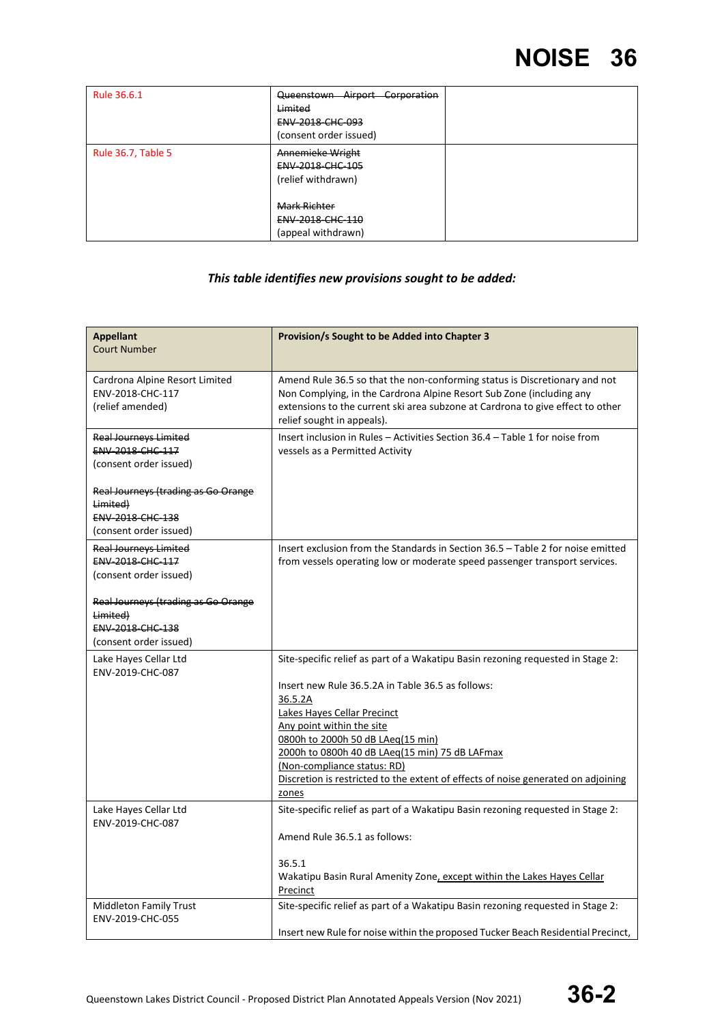| Rule 36.6.1        | Queenstown Airport<br>Corporation<br>Limited<br><b>ENV 2018 CHC 093</b><br>(consent order issued) |  |
|--------------------|---------------------------------------------------------------------------------------------------|--|
| Rule 36.7, Table 5 | Annemieke Wright<br>ENV-2018-CHC-105<br>(relief withdrawn)                                        |  |
|                    | Mark Richter<br><b>ENV 2018 CHC 110</b><br>(appeal withdrawn)                                     |  |

#### *This table identifies new provisions sought to be added:*

| <b>Appellant</b><br><b>Court Number</b>                                                       | <b>Provision/s Sought to be Added into Chapter 3</b>                                                                                                                                                                                                                                                                                                                                                                            |
|-----------------------------------------------------------------------------------------------|---------------------------------------------------------------------------------------------------------------------------------------------------------------------------------------------------------------------------------------------------------------------------------------------------------------------------------------------------------------------------------------------------------------------------------|
| Cardrona Alpine Resort Limited<br>ENV-2018-CHC-117<br>(relief amended)                        | Amend Rule 36.5 so that the non-conforming status is Discretionary and not<br>Non Complying, in the Cardrona Alpine Resort Sub Zone (including any<br>extensions to the current ski area subzone at Cardrona to give effect to other<br>relief sought in appeals).                                                                                                                                                              |
| <b>Real Journeys Limited</b><br>ENV-2018-CHC-117<br>(consent order issued)                    | Insert inclusion in Rules - Activities Section 36.4 - Table 1 for noise from<br>vessels as a Permitted Activity                                                                                                                                                                                                                                                                                                                 |
| Real Journeys (trading as Go Orange<br>Limited)<br>ENV-2018-CHC-138<br>(consent order issued) |                                                                                                                                                                                                                                                                                                                                                                                                                                 |
| <b>Real Journeys Limited</b><br>ENV-2018-CHC-117<br>(consent order issued)                    | Insert exclusion from the Standards in Section 36.5 - Table 2 for noise emitted<br>from vessels operating low or moderate speed passenger transport services.                                                                                                                                                                                                                                                                   |
| Real Journeys (trading as Go Orange<br>Limited)<br>ENV 2018 CHC 138<br>(consent order issued) |                                                                                                                                                                                                                                                                                                                                                                                                                                 |
| Lake Hayes Cellar Ltd<br>ENV-2019-CHC-087                                                     | Site-specific relief as part of a Wakatipu Basin rezoning requested in Stage 2:<br>Insert new Rule 36.5.2A in Table 36.5 as follows:<br>36.5.2A<br>Lakes Hayes Cellar Precinct<br>Any point within the site<br>0800h to 2000h 50 dB LAeg(15 min)<br>2000h to 0800h 40 dB LAeq(15 min) 75 dB LAFmax<br>(Non-compliance status: RD)<br>Discretion is restricted to the extent of effects of noise generated on adjoining<br>zones |
| Lake Hayes Cellar Ltd<br>ENV-2019-CHC-087                                                     | Site-specific relief as part of a Wakatipu Basin rezoning requested in Stage 2:<br>Amend Rule 36.5.1 as follows:<br>36.5.1<br>Wakatipu Basin Rural Amenity Zone, except within the Lakes Hayes Cellar<br>Precinct                                                                                                                                                                                                               |
| <b>Middleton Family Trust</b><br>ENV-2019-CHC-055                                             | Site-specific relief as part of a Wakatipu Basin rezoning requested in Stage 2:<br>Insert new Rule for noise within the proposed Tucker Beach Residential Precinct,                                                                                                                                                                                                                                                             |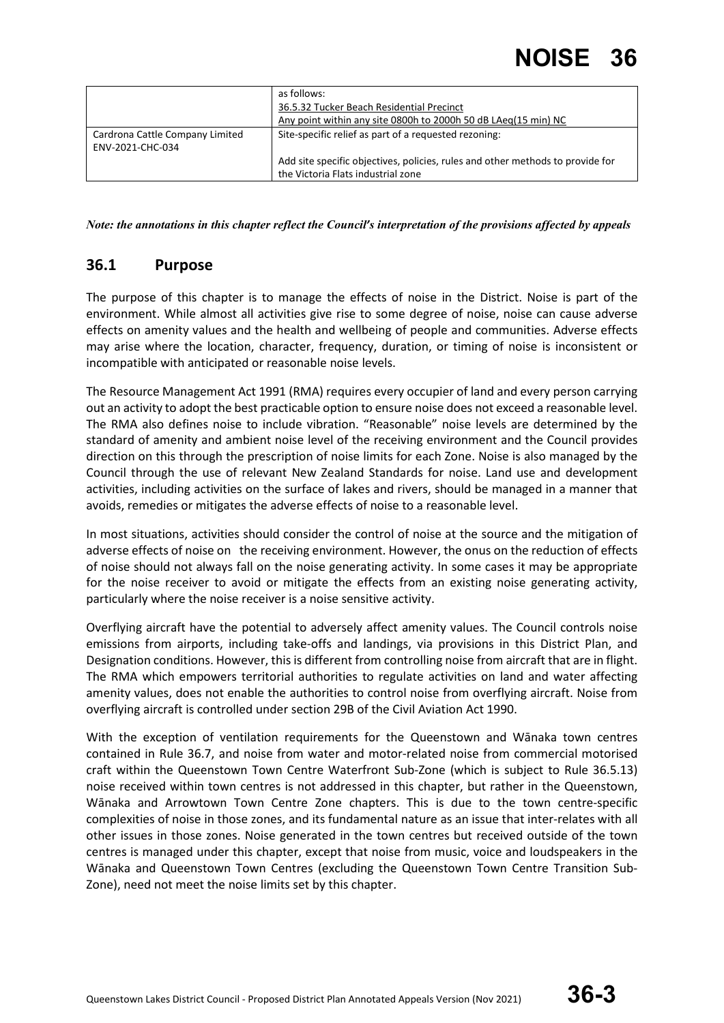|                                 | as follows:                                                                    |
|---------------------------------|--------------------------------------------------------------------------------|
|                                 | 36.5.32 Tucker Beach Residential Precinct                                      |
|                                 | Any point within any site 0800h to 2000h 50 dB LAeg(15 min) NC                 |
| Cardrona Cattle Company Limited | Site-specific relief as part of a requested rezoning:                          |
| ENV-2021-CHC-034                |                                                                                |
|                                 | Add site specific objectives, policies, rules and other methods to provide for |
|                                 | the Victoria Flats industrial zone                                             |

*Note: the annotations in this chapter reflect the Council's interpretation of the provisions affected by appeals*

#### **36.1 Purpose**

The purpose of this chapter is to manage the effects of noise in the District. Noise is part of the environment. While almost all activities give rise to some degree of noise, noise can cause adverse effects on amenity values and the health and wellbeing of people and communities. Adverse effects may arise where the location, character, frequency, duration, or timing of noise is inconsistent or incompatible with anticipated or reasonable noise levels.

The Resource Management Act 1991 (RMA) requires every occupier of land and every person carrying out an activity to adopt the best practicable option to ensure noise does not exceed a reasonable level. The RMA also defines noise to include vibration. "Reasonable" noise levels are determined by the standard of amenity and ambient noise level of the receiving environment and the Council provides direction on this through the prescription of noise limits for each Zone. Noise is also managed by the Council through the use of relevant New Zealand Standards for noise. Land use and development activities, including activities on the surface of lakes and rivers, should be managed in a manner that avoids, remedies or mitigates the adverse effects of noise to a reasonable level.

In most situations, activities should consider the control of noise at the source and the mitigation of adverse effects of noise on the receiving environment. However, the onus on the reduction of effects of noise should not always fall on the noise generating activity. In some cases it may be appropriate for the noise receiver to avoid or mitigate the effects from an existing noise generating activity, particularly where the noise receiver is a noise sensitive activity.

Overflying aircraft have the potential to adversely affect amenity values. The Council controls noise emissions from airports, including take-offs and landings, via provisions in this District Plan, and Designation conditions. However, this is different from controlling noise from aircraft that are in flight. The RMA which empowers territorial authorities to regulate activities on land and water affecting amenity values, does not enable the authorities to control noise from overflying aircraft. Noise from overflying aircraft is controlled under section 29B of the Civil Aviation Act 1990.

With the exception of ventilation requirements for the Queenstown and Wānaka town centres contained in Rule 36.7, and noise from water and motor-related noise from commercial motorised craft within the Queenstown Town Centre Waterfront Sub-Zone (which is subject to Rule 36.5.13) noise received within town centres is not addressed in this chapter, but rather in the Queenstown, Wānaka and Arrowtown Town Centre Zone chapters. This is due to the town centre-specific complexities of noise in those zones, and its fundamental nature as an issue that inter-relates with all other issues in those zones. Noise generated in the town centres but received outside of the town centres is managed under this chapter, except that noise from music, voice and loudspeakers in the Wānaka and Queenstown Town Centres (excluding the Queenstown Town Centre Transition Sub-Zone), need not meet the noise limits set by this chapter.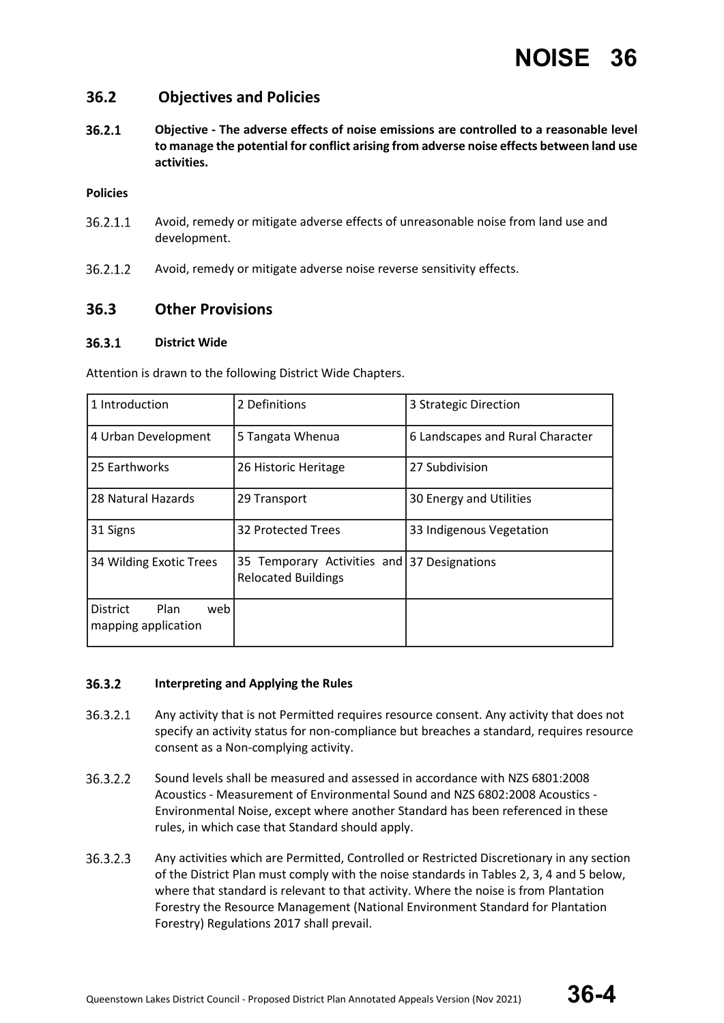#### **36.2 Objectives and Policies**

 $36.2.1$ **Objective - The adverse effects of noise emissions are controlled to a reasonable level to manage the potential for conflict arising from adverse noise effects between land use activities.**

#### **Policies**

- 36.2.1.1 Avoid, remedy or mitigate adverse effects of unreasonable noise from land use and development.
- 36.2.1.2 Avoid, remedy or mitigate adverse noise reverse sensitivity effects.

#### **36.3 Other Provisions**

#### $36.3.1$ **District Wide**

Attention is drawn to the following District Wide Chapters.

| 1 Introduction                                 | 2 Definitions                                                             | 3 Strategic Direction            |  |
|------------------------------------------------|---------------------------------------------------------------------------|----------------------------------|--|
| 4 Urban Development                            | 5 Tangata Whenua                                                          | 6 Landscapes and Rural Character |  |
| 25 Earthworks                                  | 26 Historic Heritage                                                      | 27 Subdivision                   |  |
| 28 Natural Hazards                             | 29 Transport                                                              | 30 Energy and Utilities          |  |
| 31 Signs                                       | 32 Protected Trees                                                        | 33 Indigenous Vegetation         |  |
| 34 Wilding Exotic Trees                        | 35 Temporary Activities and 37 Designations<br><b>Relocated Buildings</b> |                                  |  |
| Plan<br>District<br>web<br>mapping application |                                                                           |                                  |  |

#### 36.3.2 **Interpreting and Applying the Rules**

- 36.3.2.1 Any activity that is not Permitted requires resource consent. Any activity that does not specify an activity status for non-compliance but breaches a standard, requires resource consent as a Non-complying activity.
- 36.3.2.2 Sound levels shall be measured and assessed in accordance with NZS 6801:2008 Acoustics - Measurement of Environmental Sound and NZS 6802:2008 Acoustics - Environmental Noise, except where another Standard has been referenced in these rules, in which case that Standard should apply.
- 36.3.2.3 Any activities which are Permitted, Controlled or Restricted Discretionary in any section of the District Plan must comply with the noise standards in Tables 2, 3, 4 and 5 below, where that standard is relevant to that activity. Where the noise is from Plantation Forestry the Resource Management (National Environment Standard for Plantation Forestry) Regulations 2017 shall prevail.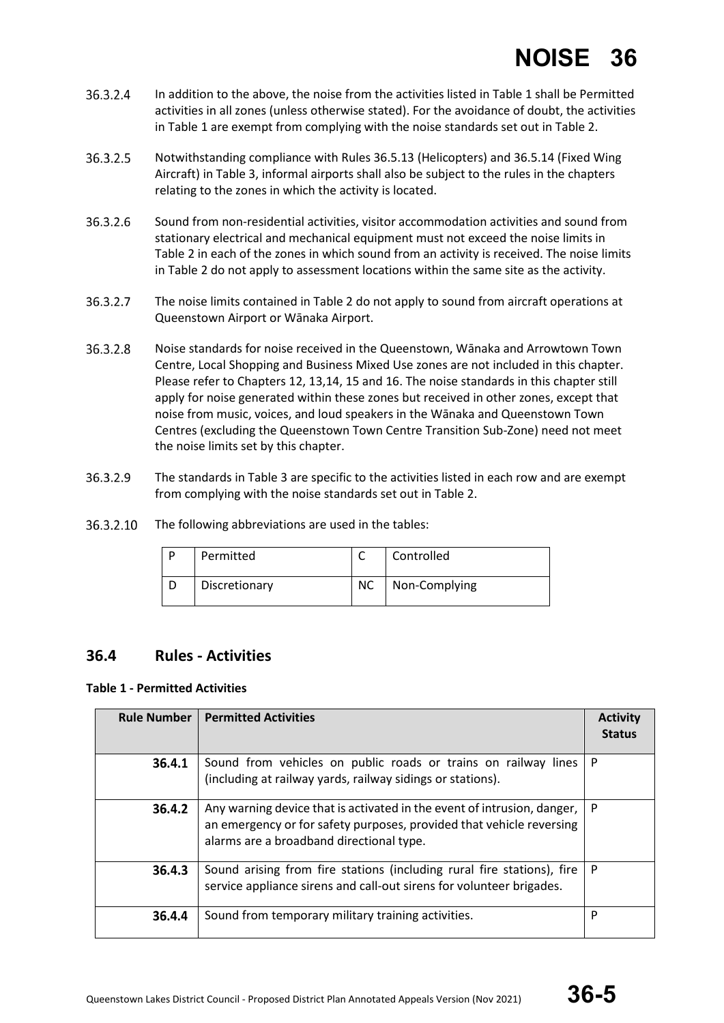- 36.3.2.4 In addition to the above, the noise from the activities listed in Table 1 shall be Permitted activities in all zones (unless otherwise stated). For the avoidance of doubt, the activities in Table 1 are exempt from complying with the noise standards set out in Table 2.
- 36.3.2.5 Notwithstanding compliance with Rules 36.5.13 (Helicopters) and 36.5.14 (Fixed Wing Aircraft) in Table 3, informal airports shall also be subject to the rules in the chapters relating to the zones in which the activity is located.
- 36.3.2.6 Sound from non-residential activities, visitor accommodation activities and sound from stationary electrical and mechanical equipment must not exceed the noise limits in Table 2 in each of the zones in which sound from an activity is received. The noise limits in Table 2 do not apply to assessment locations within the same site as the activity.
- 36.3.2.7 The noise limits contained in Table 2 do not apply to sound from aircraft operations at Queenstown Airport or Wānaka Airport.
- 36.3.2.8 Noise standards for noise received in the Queenstown, Wānaka and Arrowtown Town Centre, Local Shopping and Business Mixed Use zones are not included in this chapter. Please refer to Chapters 12, 13,14, 15 and 16. The noise standards in this chapter still apply for noise generated within these zones but received in other zones, except that noise from music, voices, and loud speakers in the Wānaka and Queenstown Town Centres (excluding the Queenstown Town Centre Transition Sub-Zone) need not meet the noise limits set by this chapter.
- 36.3.2.9 The standards in Table 3 are specific to the activities listed in each row and are exempt from complying with the noise standards set out in Table 2.
- 36.3.2.10 The following abbreviations are used in the tables:

| D | Permitted     |           | Controlled    |
|---|---------------|-----------|---------------|
|   | Discretionary | <b>NC</b> | Non-Complying |

#### **36.4 Rules - Activities**

#### **Table 1 - Permitted Activities**

| <b>Rule Number</b> | <b>Permitted Activities</b>                                                                                                                                                                 | <b>Activity</b><br><b>Status</b> |
|--------------------|---------------------------------------------------------------------------------------------------------------------------------------------------------------------------------------------|----------------------------------|
| 36.4.1             | Sound from vehicles on public roads or trains on railway lines<br>P<br>(including at railway yards, railway sidings or stations).                                                           |                                  |
| 36.4.2             | Any warning device that is activated in the event of intrusion, danger,<br>an emergency or for safety purposes, provided that vehicle reversing<br>alarms are a broadband directional type. | P                                |
| 36.4.3             | Sound arising from fire stations (including rural fire stations), fire<br>service appliance sirens and call-out sirens for volunteer brigades.                                              | P                                |
| 36.4.4             | Sound from temporary military training activities.                                                                                                                                          | P                                |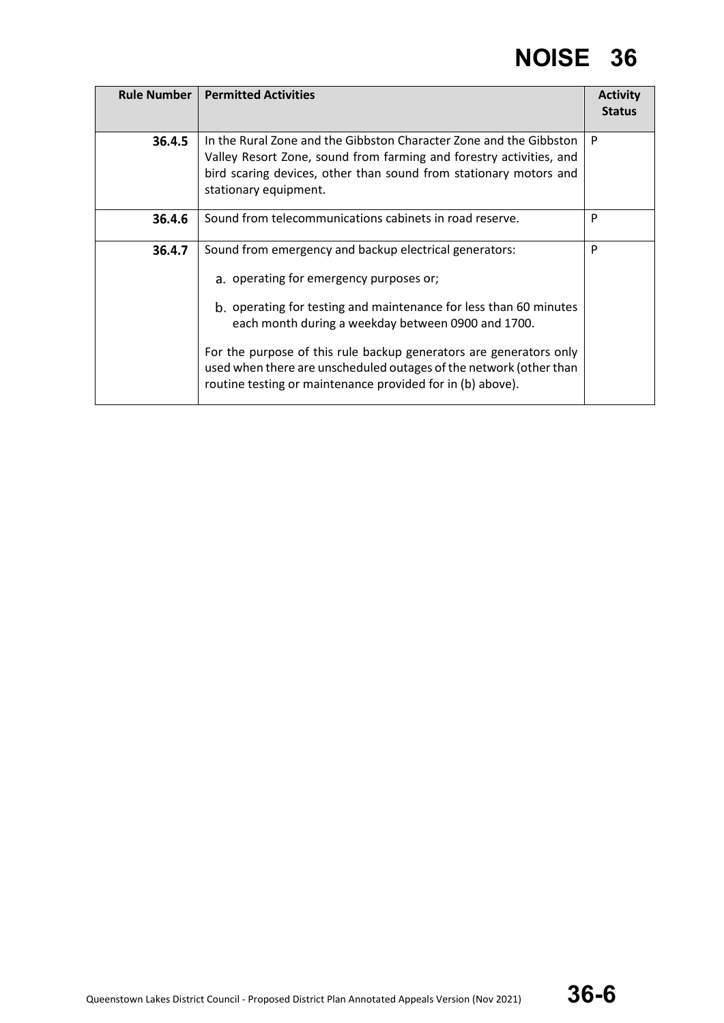| Rule Number | <b>Permitted Activities</b>                                                                                                                                                                                                                                                                                                                                                                                                            | <b>Activity</b><br><b>Status</b> |
|-------------|----------------------------------------------------------------------------------------------------------------------------------------------------------------------------------------------------------------------------------------------------------------------------------------------------------------------------------------------------------------------------------------------------------------------------------------|----------------------------------|
| 36.4.5      | In the Rural Zone and the Gibbston Character Zone and the Gibbston<br>Valley Resort Zone, sound from farming and forestry activities, and<br>bird scaring devices, other than sound from stationary motors and<br>stationary equipment.                                                                                                                                                                                                | P                                |
| 36.4.6      | Sound from telecommunications cabinets in road reserve.                                                                                                                                                                                                                                                                                                                                                                                | P                                |
| 36.4.7      | Sound from emergency and backup electrical generators:<br>a. operating for emergency purposes or;<br>b. operating for testing and maintenance for less than 60 minutes<br>each month during a weekday between 0900 and 1700.<br>For the purpose of this rule backup generators are generators only<br>used when there are unscheduled outages of the network (other than<br>routine testing or maintenance provided for in (b) above). | P                                |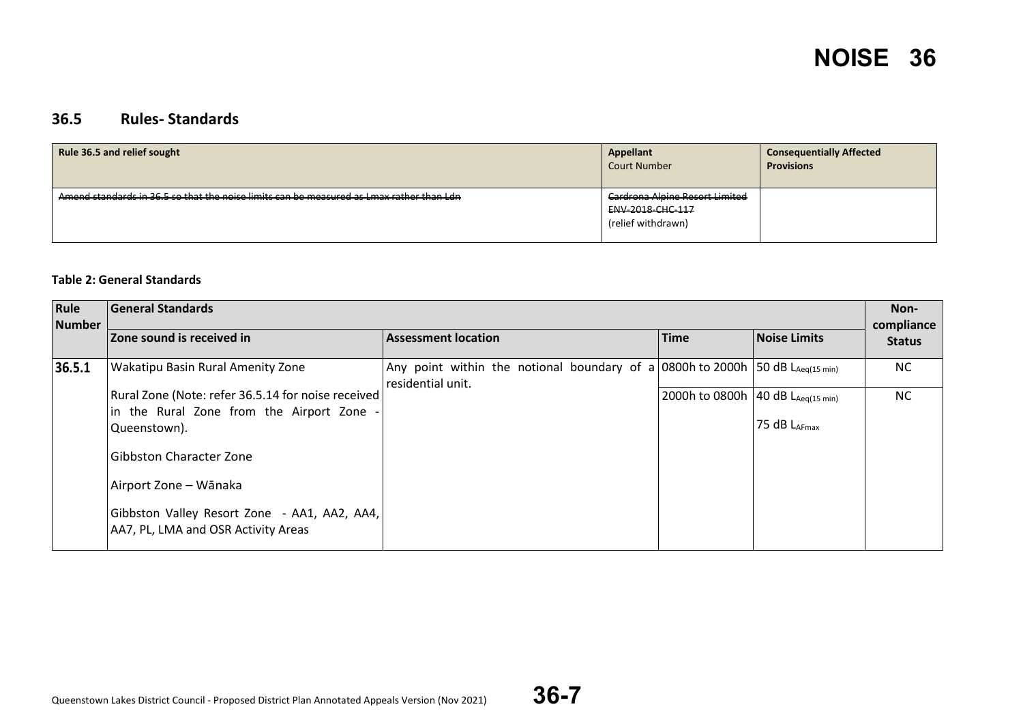#### **36.5 Rules- Standards**

| <b>Rule 36.5 and relief sought</b>                                                       | Appellant<br><b>Court Number</b>                                         | <b>Consequentially Affected</b><br><b>Provisions</b> |
|------------------------------------------------------------------------------------------|--------------------------------------------------------------------------|------------------------------------------------------|
| Amend standards in 36.5 so that the noise limits can be measured as Lmax rather than Ldn | Cardrona Alpine Resort Limited<br>ENV 2018 CHC 117<br>(relief withdrawn) |                                                      |

#### **Table 2: General Standards**

| Rule<br><b>Number</b> | <b>General Standards</b>                                                            |                                                                                                    |                                     |                     | Non-<br>compliance |
|-----------------------|-------------------------------------------------------------------------------------|----------------------------------------------------------------------------------------------------|-------------------------------------|---------------------|--------------------|
|                       | Zone sound is received in                                                           | <b>Assessment location</b>                                                                         | <b>Time</b>                         | <b>Noise Limits</b> | <b>Status</b>      |
| 36.5.1                | <b>Wakatipu Basin Rural Amenity Zone</b>                                            | Any point within the notional boundary of a 0800h to 2000h 50 dB LAeq(15 min)<br>residential unit. |                                     |                     | NC                 |
|                       | Rural Zone (Note: refer 36.5.14 for noise received)                                 |                                                                                                    | 2000h to 0800h   40 dB LAeq(15 min) |                     | NC                 |
|                       | in the Rural Zone from the Airport Zone<br>Queenstown).                             |                                                                                                    |                                     | 75 dB LAFmax        |                    |
|                       | <b>Gibbston Character Zone</b>                                                      |                                                                                                    |                                     |                     |                    |
|                       | Airport Zone - Wānaka                                                               |                                                                                                    |                                     |                     |                    |
|                       | Gibbston Valley Resort Zone - AA1, AA2, AA4,<br>AA7, PL, LMA and OSR Activity Areas |                                                                                                    |                                     |                     |                    |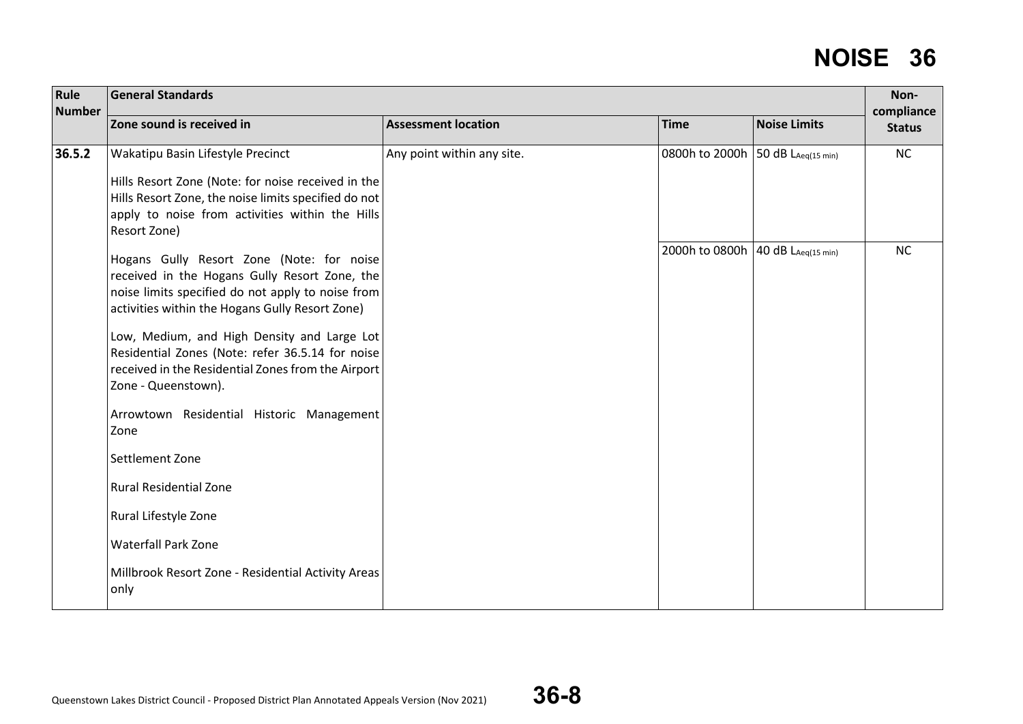| Rule<br><b>Number</b> | <b>General Standards</b>                                                                                                                                                                           |                            |                                     |                                  | Non-<br>compliance |
|-----------------------|----------------------------------------------------------------------------------------------------------------------------------------------------------------------------------------------------|----------------------------|-------------------------------------|----------------------------------|--------------------|
|                       | Zone sound is received in                                                                                                                                                                          | <b>Assessment location</b> | <b>Time</b>                         | <b>Noise Limits</b>              | <b>Status</b>      |
| 36.5.2                | Wakatipu Basin Lifestyle Precinct                                                                                                                                                                  | Any point within any site. | 0800h to 2000h                      | 50 $dB$ L <sub>Aeq(15 min)</sub> | NC                 |
|                       | Hills Resort Zone (Note: for noise received in the<br>Hills Resort Zone, the noise limits specified do not<br>apply to noise from activities within the Hills<br>Resort Zone)                      |                            |                                     |                                  |                    |
|                       | Hogans Gully Resort Zone (Note: for noise<br>received in the Hogans Gully Resort Zone, the<br>noise limits specified do not apply to noise from<br>activities within the Hogans Gully Resort Zone) |                            | 2000h to 0800h   40 dB LAeq(15 min) |                                  | NC                 |
|                       | Low, Medium, and High Density and Large Lot<br>Residential Zones (Note: refer 36.5.14 for noise<br>received in the Residential Zones from the Airport<br>Zone - Queenstown).                       |                            |                                     |                                  |                    |
|                       | Arrowtown Residential Historic Management<br>Zone                                                                                                                                                  |                            |                                     |                                  |                    |
|                       | Settlement Zone                                                                                                                                                                                    |                            |                                     |                                  |                    |
|                       | <b>Rural Residential Zone</b>                                                                                                                                                                      |                            |                                     |                                  |                    |
|                       | Rural Lifestyle Zone                                                                                                                                                                               |                            |                                     |                                  |                    |
|                       | <b>Waterfall Park Zone</b>                                                                                                                                                                         |                            |                                     |                                  |                    |
|                       | Millbrook Resort Zone - Residential Activity Areas<br>only                                                                                                                                         |                            |                                     |                                  |                    |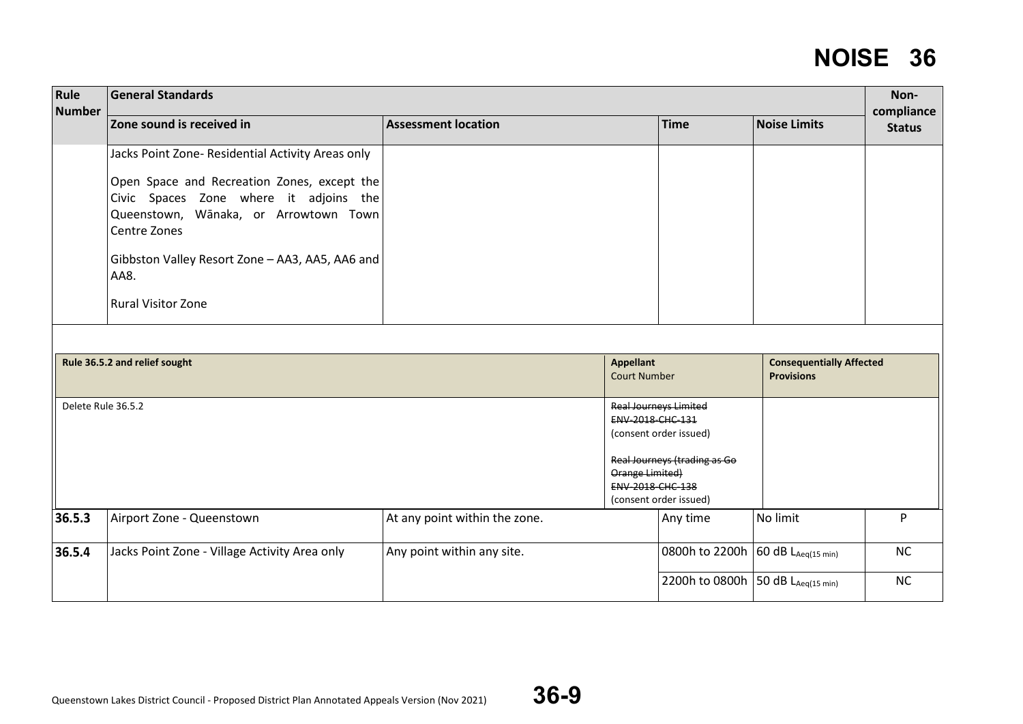| Rule<br><b>Number</b> | <b>General Standards</b>                                                                                                                                                                                                                                                                    |                               |                                                                                                                                                                             |                                                      | Non-<br>compliance |
|-----------------------|---------------------------------------------------------------------------------------------------------------------------------------------------------------------------------------------------------------------------------------------------------------------------------------------|-------------------------------|-----------------------------------------------------------------------------------------------------------------------------------------------------------------------------|------------------------------------------------------|--------------------|
|                       | Zone sound is received in                                                                                                                                                                                                                                                                   | <b>Assessment location</b>    | <b>Time</b>                                                                                                                                                                 | <b>Noise Limits</b>                                  | <b>Status</b>      |
|                       | Jacks Point Zone- Residential Activity Areas only<br>Open Space and Recreation Zones, except the<br>Civic Spaces Zone where it adjoins the<br>Queenstown, Wānaka, or Arrowtown Town<br>Centre Zones<br>Gibbston Valley Resort Zone - AA3, AA5, AA6 and<br>AA8.<br><b>Rural Visitor Zone</b> |                               |                                                                                                                                                                             |                                                      |                    |
|                       | Rule 36.5.2 and relief sought                                                                                                                                                                                                                                                               |                               | <b>Appellant</b><br><b>Court Number</b>                                                                                                                                     | <b>Consequentially Affected</b><br><b>Provisions</b> |                    |
| Delete Rule 36.5.2    |                                                                                                                                                                                                                                                                                             |                               | <b>Real Journeys Limited</b><br>ENV-2018-CHC-131<br>(consent order issued)<br>Real Journeys (trading as Go<br>Orange Limited)<br>ENV-2018-CHC-138<br>(consent order issued) |                                                      |                    |
| 36.5.3                | Airport Zone - Queenstown                                                                                                                                                                                                                                                                   | At any point within the zone. | Any time                                                                                                                                                                    | No limit                                             | P                  |
| 36.5.4                | Jacks Point Zone - Village Activity Area only                                                                                                                                                                                                                                               | Any point within any site.    | 0800h to 2200h                                                                                                                                                              | $60 dB$ L <sub>Aeq(15 min)</sub>                     | NC                 |
|                       |                                                                                                                                                                                                                                                                                             |                               | 2200h to 0800h   50 dB LAeq(15 min)                                                                                                                                         |                                                      | NC                 |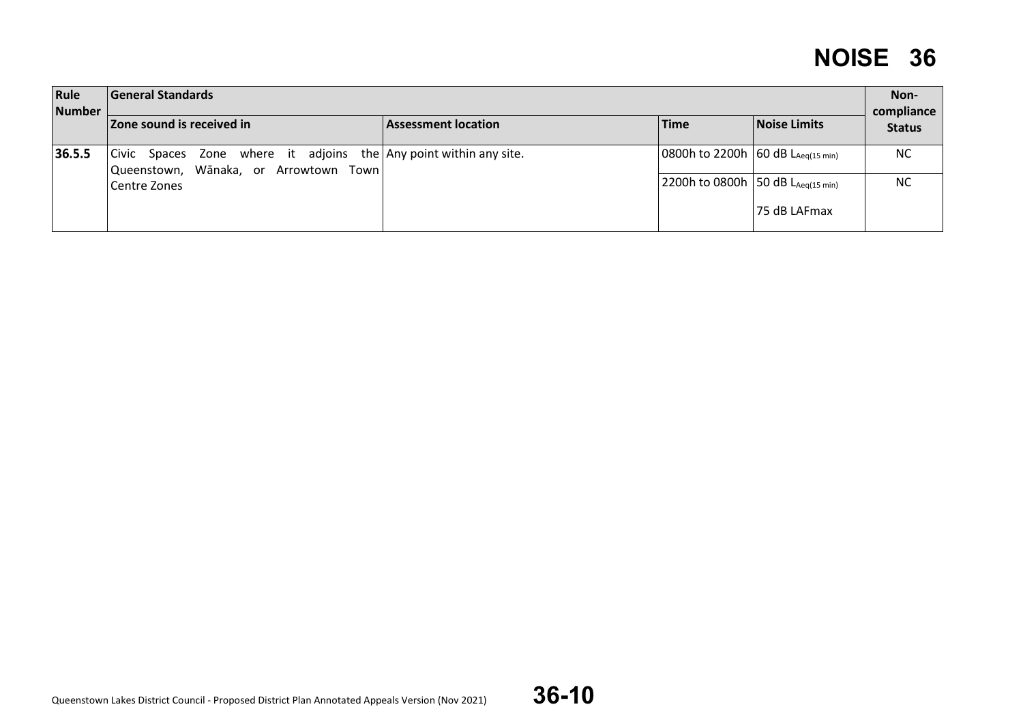| Rule<br>General Standards<br><b>Number</b> |                                                                                                            |                            |                                        |              |                             |  |  |  |
|--------------------------------------------|------------------------------------------------------------------------------------------------------------|----------------------------|----------------------------------------|--------------|-----------------------------|--|--|--|
|                                            | <b>Zone sound is received in</b>                                                                           | <b>Assessment location</b> | <b>Time</b>                            | Noise Limits | compliance<br><b>Status</b> |  |  |  |
| 36.5.5                                     | Civic Spaces Zone where it adjoins the Any point within any site.<br>Queenstown, Wānaka, or Arrowtown Town |                            | 0800h to 2200h 60 dB $L_{Aeq(15 min)}$ |              | <b>NC</b>                   |  |  |  |
|                                            | Centre Zones                                                                                               |                            | 2200h to 0800h 50 dB $L_{Aeq(15 min)}$ |              | <b>NC</b>                   |  |  |  |
|                                            |                                                                                                            |                            |                                        | 75 dB LAFmax |                             |  |  |  |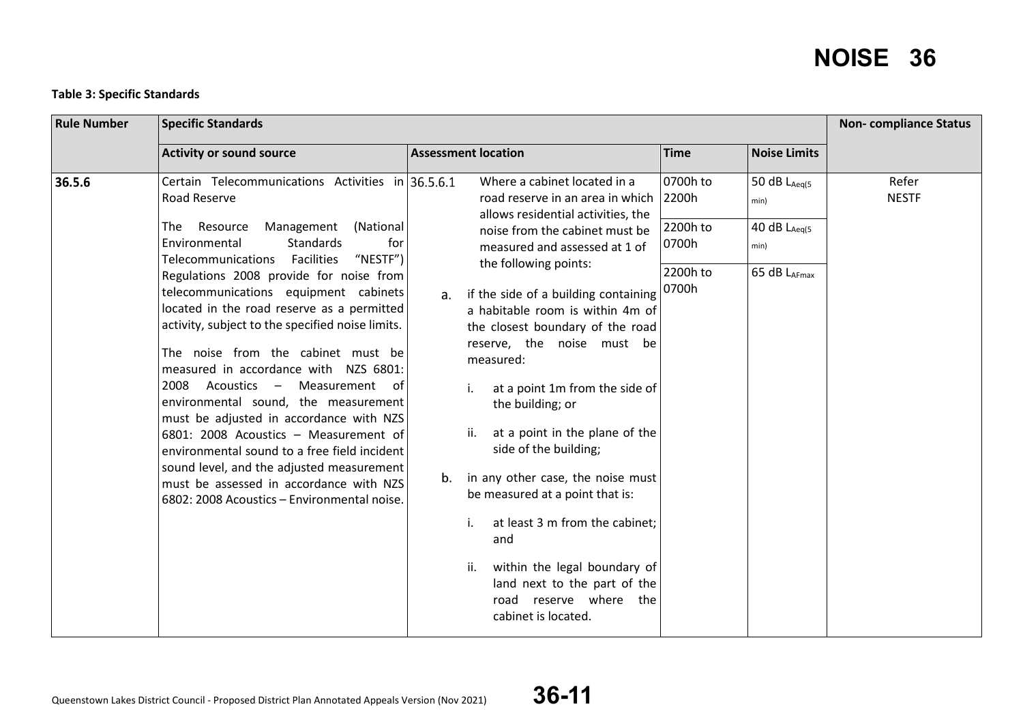#### **Table 3: Specific Standards**

| <b>Rule Number</b> |                                                                                                                                                                                                                                                                                                                                                                                                                                                                                                                                                                                                                                                                                                                                                                                                                                         | <b>Non-compliance Status</b>                                                                                                                                                                                                                                                                                                                                                                                                                                                                                                                                                                                                                                                                                                                                           |                                                    |                                                                    |                       |
|--------------------|-----------------------------------------------------------------------------------------------------------------------------------------------------------------------------------------------------------------------------------------------------------------------------------------------------------------------------------------------------------------------------------------------------------------------------------------------------------------------------------------------------------------------------------------------------------------------------------------------------------------------------------------------------------------------------------------------------------------------------------------------------------------------------------------------------------------------------------------|------------------------------------------------------------------------------------------------------------------------------------------------------------------------------------------------------------------------------------------------------------------------------------------------------------------------------------------------------------------------------------------------------------------------------------------------------------------------------------------------------------------------------------------------------------------------------------------------------------------------------------------------------------------------------------------------------------------------------------------------------------------------|----------------------------------------------------|--------------------------------------------------------------------|-----------------------|
|                    | <b>Activity or sound source</b>                                                                                                                                                                                                                                                                                                                                                                                                                                                                                                                                                                                                                                                                                                                                                                                                         | <b>Assessment location</b>                                                                                                                                                                                                                                                                                                                                                                                                                                                                                                                                                                                                                                                                                                                                             | <b>Time</b>                                        | <b>Noise Limits</b>                                                |                       |
| 36.5.6             | Certain Telecommunications Activities in 36.5.6.1<br>Road Reserve<br>Management<br>The Resource<br>(National<br>Environmental<br><b>Standards</b><br>for<br>"NESTF")<br>Telecommunications Facilities<br>Regulations 2008 provide for noise from<br>telecommunications equipment cabinets<br>located in the road reserve as a permitted<br>activity, subject to the specified noise limits.<br>The noise from the cabinet must be<br>measured in accordance with NZS 6801:<br>2008<br>Acoustics - Measurement<br>of.<br>environmental sound, the measurement<br>must be adjusted in accordance with NZS<br>6801: 2008 Acoustics - Measurement of<br>environmental sound to a free field incident<br>sound level, and the adjusted measurement<br>must be assessed in accordance with NZS<br>6802: 2008 Acoustics - Environmental noise. | Where a cabinet located in a<br>road reserve in an area in which<br>allows residential activities, the<br>noise from the cabinet must be<br>measured and assessed at 1 of<br>the following points:<br>if the side of a building containing $ 0700h $<br>a <sub>r</sub><br>a habitable room is within 4m of<br>the closest boundary of the road<br>reserve, the noise must be<br>measured:<br>at a point 1m from the side of<br>the building; or<br>at a point in the plane of the<br>ii.<br>side of the building;<br>in any other case, the noise must<br>b.<br>be measured at a point that is:<br>at least 3 m from the cabinet;<br>i.<br>and<br>within the legal boundary of<br>ii.<br>land next to the part of the<br>road reserve where the<br>cabinet is located. | 0700h to<br>2200h<br>2200h to<br>0700h<br>2200h to | 50 dB $L_{Aeq(5)}$<br>min)<br>40 dB LAeg(5<br>min)<br>65 dB LAFmax | Refer<br><b>NESTF</b> |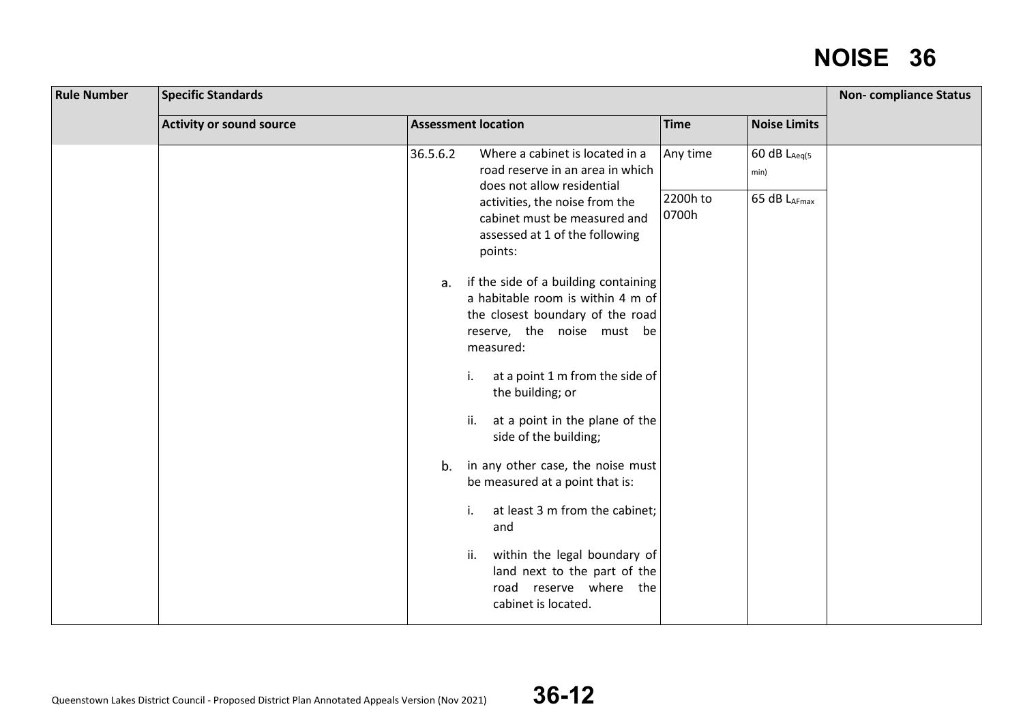| <b>Rule Number</b> | <b>Specific Standards</b>       |                                                                                                                                                                                                         |                                    |  |  |  |
|--------------------|---------------------------------|---------------------------------------------------------------------------------------------------------------------------------------------------------------------------------------------------------|------------------------------------|--|--|--|
|                    | <b>Activity or sound source</b> | <b>Assessment location</b>                                                                                                                                                                              | <b>Time</b><br><b>Noise Limits</b> |  |  |  |
|                    |                                 | Where a cabinet is located in a<br>36.5.6.2                                                                                                                                                             | 60 dB LAeg(5<br>Any time           |  |  |  |
|                    |                                 | road reserve in an area in which<br>does not allow residential                                                                                                                                          | min)                               |  |  |  |
|                    |                                 | activities, the noise from the<br>cabinet must be measured and<br>assessed at 1 of the following<br>points:                                                                                             | 2200h to<br>65 dB LAFmax<br>0700h  |  |  |  |
|                    |                                 | if the side of a building containing<br>а.<br>a habitable room is within 4 m of<br>the closest boundary of the road<br>reserve, the noise must be<br>measured:<br>at a point 1 m from the side of<br>i. |                                    |  |  |  |
|                    |                                 | the building; or<br>at a point in the plane of the<br>ii.<br>side of the building;                                                                                                                      |                                    |  |  |  |
|                    |                                 | in any other case, the noise must<br>b.<br>be measured at a point that is:                                                                                                                              |                                    |  |  |  |
|                    |                                 | at least 3 m from the cabinet;<br>i.<br>and                                                                                                                                                             |                                    |  |  |  |
|                    |                                 | within the legal boundary of<br>ii.<br>land next to the part of the<br>road reserve where the<br>cabinet is located.                                                                                    |                                    |  |  |  |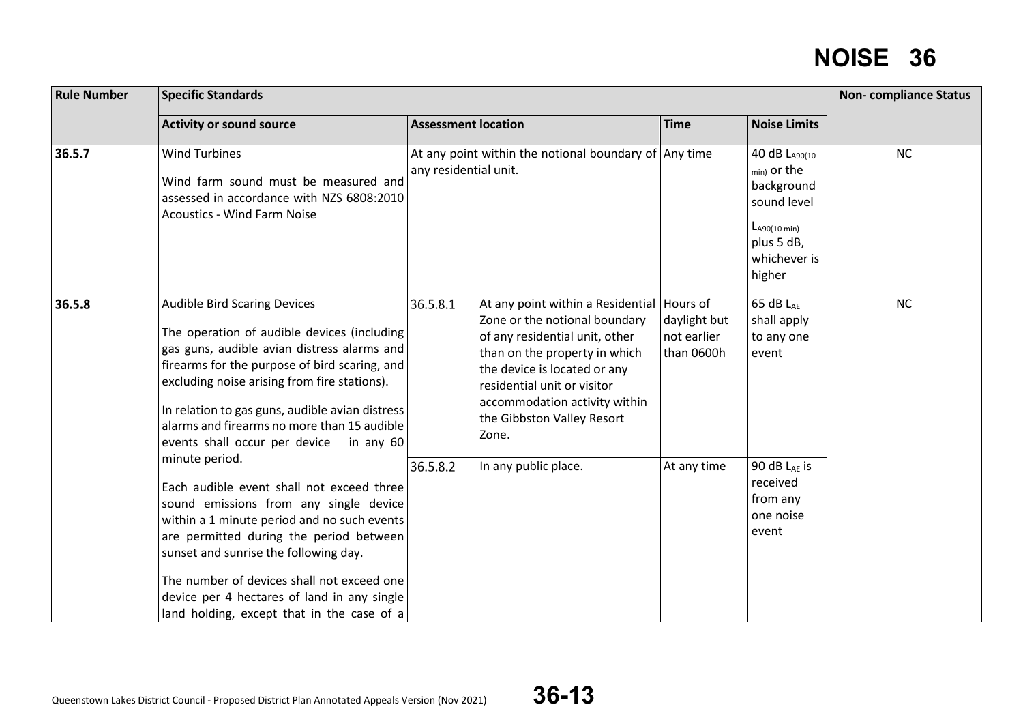| <b>Rule Number</b> | <b>Specific Standards</b>                                                                                                                                                                                                                                                                                                                                                           | <b>Non-compliance Status</b>                                                                                                                                                                                                                                                                        |                                           |                                                                                                                            |           |  |
|--------------------|-------------------------------------------------------------------------------------------------------------------------------------------------------------------------------------------------------------------------------------------------------------------------------------------------------------------------------------------------------------------------------------|-----------------------------------------------------------------------------------------------------------------------------------------------------------------------------------------------------------------------------------------------------------------------------------------------------|-------------------------------------------|----------------------------------------------------------------------------------------------------------------------------|-----------|--|
|                    | <b>Activity or sound source</b>                                                                                                                                                                                                                                                                                                                                                     | <b>Assessment location</b>                                                                                                                                                                                                                                                                          | <b>Time</b>                               | <b>Noise Limits</b>                                                                                                        |           |  |
| 36.5.7             | <b>Wind Turbines</b><br>Wind farm sound must be measured and<br>assessed in accordance with NZS 6808:2010<br><b>Acoustics - Wind Farm Noise</b>                                                                                                                                                                                                                                     | At any point within the notional boundary of $\vert$ Any time<br>any residential unit.                                                                                                                                                                                                              |                                           | 40 dB LA90(10<br>$_{min}$ or the<br>background<br>sound level<br>$L_{A90(10 min)}$<br>plus 5 dB,<br>whichever is<br>higher | <b>NC</b> |  |
| 36.5.8             | <b>Audible Bird Scaring Devices</b><br>The operation of audible devices (including<br>gas guns, audible avian distress alarms and<br>firearms for the purpose of bird scaring, and<br>excluding noise arising from fire stations).<br>In relation to gas guns, audible avian distress<br>alarms and firearms no more than 15 audible<br>events shall occur per device in any 60     | 36.5.8.1<br>At any point within a Residential   Hours of<br>Zone or the notional boundary<br>of any residential unit, other<br>than on the property in which<br>the device is located or any<br>residential unit or visitor<br>accommodation activity within<br>the Gibbston Valley Resort<br>Zone. | daylight but<br>not earlier<br>than 0600h | 65 dB LAE<br>shall apply<br>to any one<br>event                                                                            | NC        |  |
|                    | minute period.<br>Each audible event shall not exceed three<br>sound emissions from any single device<br>within a 1 minute period and no such events<br>are permitted during the period between<br>sunset and sunrise the following day.<br>The number of devices shall not exceed one<br>device per 4 hectares of land in any single<br>land holding, except that in the case of a | 36.5.8.2<br>In any public place.                                                                                                                                                                                                                                                                    | At any time                               | 90 dB $L_{AE}$ is<br>received<br>from any<br>one noise<br>event                                                            |           |  |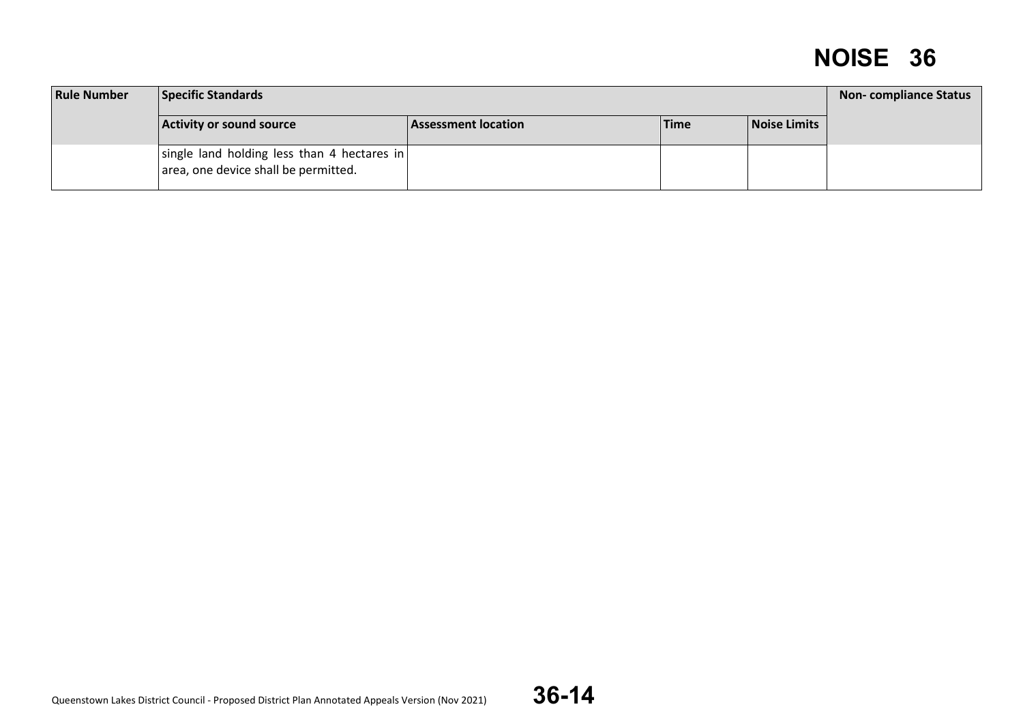| <b>Rule Number</b> | Specific Standards                                                                  |                     |             |              |  |  |
|--------------------|-------------------------------------------------------------------------------------|---------------------|-------------|--------------|--|--|
|                    | Activity or sound source                                                            | Assessment location | <b>Time</b> | Noise Limits |  |  |
|                    | single land holding less than 4 hectares in<br>area, one device shall be permitted. |                     |             |              |  |  |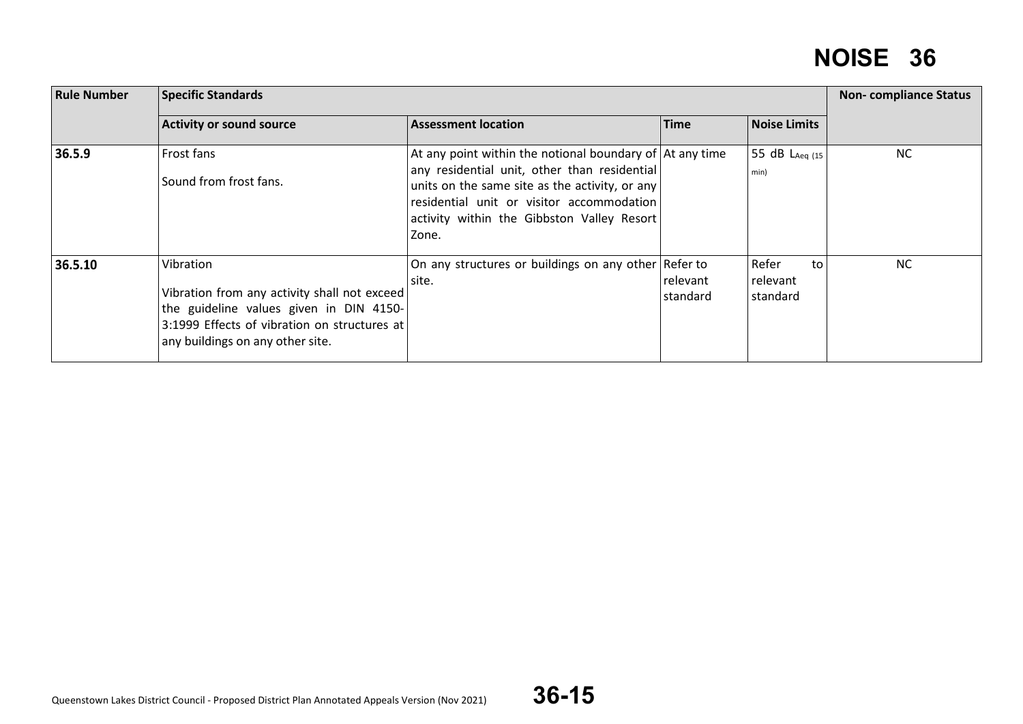| <b>Rule Number</b> | <b>Specific Standards</b>                                                                                                                                                                | <b>Non-compliance Status</b>                                                                                                                                                                                                                                           |                      |                                     |           |
|--------------------|------------------------------------------------------------------------------------------------------------------------------------------------------------------------------------------|------------------------------------------------------------------------------------------------------------------------------------------------------------------------------------------------------------------------------------------------------------------------|----------------------|-------------------------------------|-----------|
|                    | <b>Activity or sound source</b>                                                                                                                                                          | <b>Assessment location</b>                                                                                                                                                                                                                                             | <b>Time</b>          | <b>Noise Limits</b>                 |           |
| 36.5.9             | Frost fans<br>Sound from frost fans.                                                                                                                                                     | At any point within the notional boundary of $\vert$ At any time<br>any residential unit, other than residential<br>units on the same site as the activity, or any<br>residential unit or visitor accommodation<br>activity within the Gibbston Valley Resort<br>Zone. |                      | 55 dB LAeg (15<br>min)              | <b>NC</b> |
| 36.5.10            | Vibration<br>Vibration from any activity shall not exceed<br>the guideline values given in DIN 4150-<br>3:1999 Effects of vibration on structures at<br>any buildings on any other site. | On any structures or buildings on any other Refer to<br>site.                                                                                                                                                                                                          | relevant<br>standard | Refer<br>to<br>relevant<br>standard | <b>NC</b> |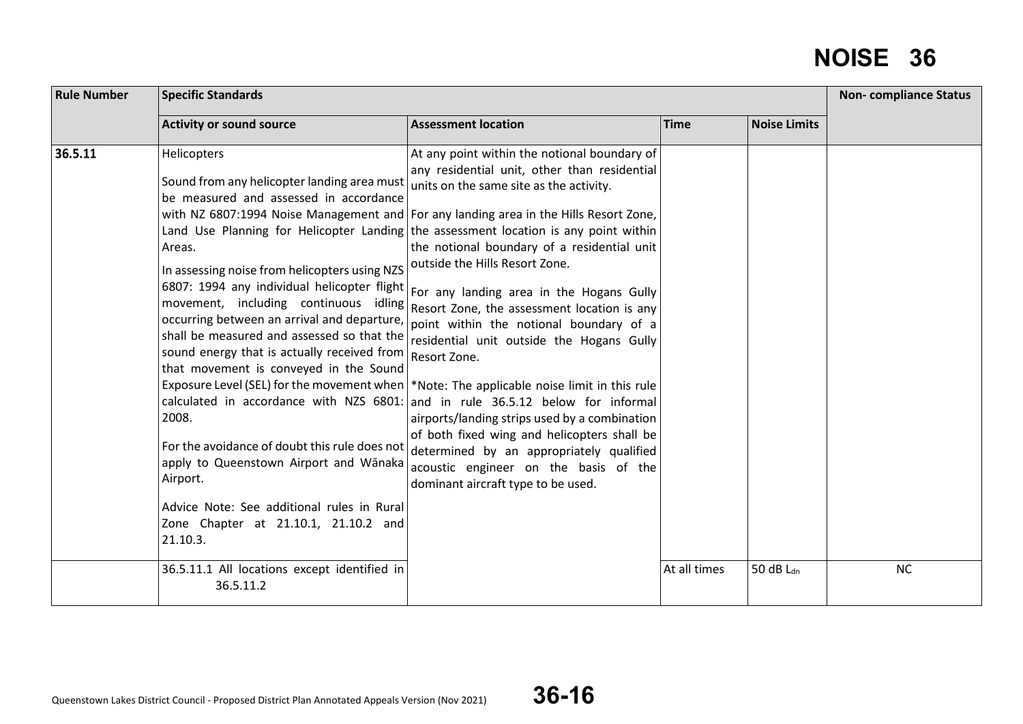| <b>Rule Number</b> | <b>Specific Standards</b>                                                                                                                                                                                                                                                                                                                                                                                                                                                                                                                                               | <b>Non-compliance Status</b>                                                                                                                                                                                                                                                                                                                                                                                                                                                                                                                                                                                                                                                                                                                                                                                                                                                                                                                                                                                                                                                                                        |              |                     |           |
|--------------------|-------------------------------------------------------------------------------------------------------------------------------------------------------------------------------------------------------------------------------------------------------------------------------------------------------------------------------------------------------------------------------------------------------------------------------------------------------------------------------------------------------------------------------------------------------------------------|---------------------------------------------------------------------------------------------------------------------------------------------------------------------------------------------------------------------------------------------------------------------------------------------------------------------------------------------------------------------------------------------------------------------------------------------------------------------------------------------------------------------------------------------------------------------------------------------------------------------------------------------------------------------------------------------------------------------------------------------------------------------------------------------------------------------------------------------------------------------------------------------------------------------------------------------------------------------------------------------------------------------------------------------------------------------------------------------------------------------|--------------|---------------------|-----------|
|                    | <b>Activity or sound source</b>                                                                                                                                                                                                                                                                                                                                                                                                                                                                                                                                         | <b>Assessment location</b>                                                                                                                                                                                                                                                                                                                                                                                                                                                                                                                                                                                                                                                                                                                                                                                                                                                                                                                                                                                                                                                                                          | <b>Time</b>  | <b>Noise Limits</b> |           |
| 36.5.11            | Helicopters<br>Sound from any helicopter landing area must<br>be measured and assessed in accordance<br>Areas.<br>In assessing noise from helicopters using NZS<br>occurring between an arrival and departure,<br>shall be measured and assessed so that the<br>sound energy that is actually received from<br>that movement is conveyed in the Sound<br>2008.<br>For the avoidance of doubt this rule does not<br>apply to Queenstown Airport and Wānaka<br>Airport.<br>Advice Note: See additional rules in Rural<br>Zone Chapter at 21.10.1, 21.10.2 and<br>21.10.3. | At any point within the notional boundary of<br>any residential unit, other than residential<br>units on the same site as the activity.<br>with NZ 6807:1994 Noise Management and For any landing area in the Hills Resort Zone,<br>Land Use Planning for Helicopter Landing the assessment location is any point within<br>the notional boundary of a residential unit<br>outside the Hills Resort Zone.<br>6807: 1994 any individual helicopter flight For any landing area in the Hogans Gully<br>movement, including continuous idling $\left $ Resort Zone, the assessment location is any<br>point within the notional boundary of a<br>residential unit outside the Hogans Gully<br>Resort Zone.<br>Exposure Level (SEL) for the movement when   *Note: The applicable noise limit in this rule<br>calculated in accordance with NZS 6801: and in rule 36.5.12 below for informal<br>airports/landing strips used by a combination<br>of both fixed wing and helicopters shall be<br>determined by an appropriately qualified<br>acoustic engineer on the basis of the<br>dominant aircraft type to be used. |              |                     |           |
|                    | 36.5.11.1 All locations except identified in<br>36.5.11.2                                                                                                                                                                                                                                                                                                                                                                                                                                                                                                               |                                                                                                                                                                                                                                                                                                                                                                                                                                                                                                                                                                                                                                                                                                                                                                                                                                                                                                                                                                                                                                                                                                                     | At all times | 50 dB $L_{dn}$      | <b>NC</b> |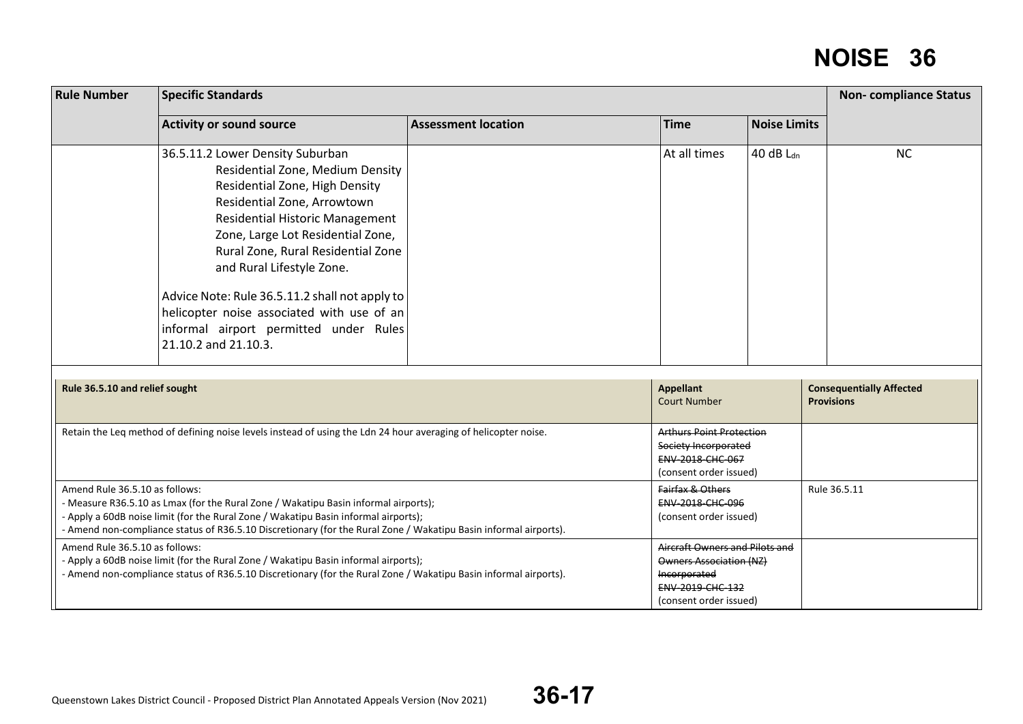| <b>Rule Number</b>             | <b>Specific Standards</b>                                                                                                                                                                                                                                                                                                                                                                                                                                 |                            |                                                                                                                                |                     |                                                      |  |
|--------------------------------|-----------------------------------------------------------------------------------------------------------------------------------------------------------------------------------------------------------------------------------------------------------------------------------------------------------------------------------------------------------------------------------------------------------------------------------------------------------|----------------------------|--------------------------------------------------------------------------------------------------------------------------------|---------------------|------------------------------------------------------|--|
|                                | <b>Activity or sound source</b>                                                                                                                                                                                                                                                                                                                                                                                                                           | <b>Assessment location</b> | <b>Time</b>                                                                                                                    | <b>Noise Limits</b> |                                                      |  |
|                                | 36.5.11.2 Lower Density Suburban<br>Residential Zone, Medium Density<br>Residential Zone, High Density<br>Residential Zone, Arrowtown<br><b>Residential Historic Management</b><br>Zone, Large Lot Residential Zone,<br>Rural Zone, Rural Residential Zone<br>and Rural Lifestyle Zone.<br>Advice Note: Rule 36.5.11.2 shall not apply to<br>helicopter noise associated with use of an<br>informal airport permitted under Rules<br>21.10.2 and 21.10.3. |                            | At all times                                                                                                                   | 40 dB $L_{dn}$      | <b>NC</b>                                            |  |
| Rule 36.5.10 and relief sought |                                                                                                                                                                                                                                                                                                                                                                                                                                                           |                            | <b>Appellant</b><br><b>Court Number</b>                                                                                        |                     | <b>Consequentially Affected</b><br><b>Provisions</b> |  |
|                                | Retain the Leq method of defining noise levels instead of using the Ldn 24 hour averaging of helicopter noise.                                                                                                                                                                                                                                                                                                                                            |                            | <b>Arthurs Point Protection</b><br>Society Incorporated<br>ENV-2018-CHC-067<br>(consent order issued)                          |                     |                                                      |  |
| Amend Rule 36.5.10 as follows: | - Measure R36.5.10 as Lmax (for the Rural Zone / Wakatipu Basin informal airports);<br>- Apply a 60dB noise limit (for the Rural Zone / Wakatipu Basin informal airports);<br>- Amend non-compliance status of R36.5.10 Discretionary (for the Rural Zone / Wakatipu Basin informal airports).                                                                                                                                                            |                            | Fairfax & Others<br>ENV-2018-CHC-096<br>(consent order issued)                                                                 |                     | Rule 36.5.11                                         |  |
| Amend Rule 36.5.10 as follows: | - Apply a 60dB noise limit (for the Rural Zone / Wakatipu Basin informal airports);<br>- Amend non-compliance status of R36.5.10 Discretionary (for the Rural Zone / Wakatipu Basin informal airports).                                                                                                                                                                                                                                                   |                            | Aircraft Owners and Pilots and<br><b>Owners Association (NZ)</b><br>Incorporated<br>ENV-2019-CHC-132<br>(consent order issued) |                     |                                                      |  |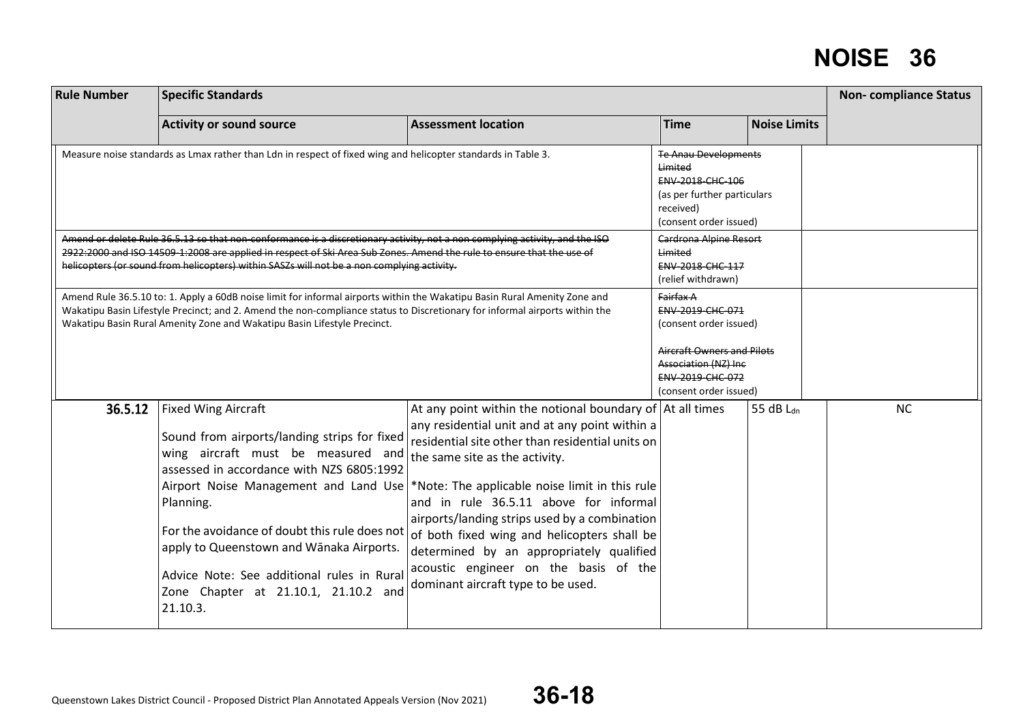| <b>Rule Number</b> | <b>Specific Standards</b>                                                                                                                                                                                                                                                                                                                                                 |                                                                                                                                                                                                                                                                                                                                                                                                                                                                                                                                                                         |                                                                                                                                                                           |                       |           |  |
|--------------------|---------------------------------------------------------------------------------------------------------------------------------------------------------------------------------------------------------------------------------------------------------------------------------------------------------------------------------------------------------------------------|-------------------------------------------------------------------------------------------------------------------------------------------------------------------------------------------------------------------------------------------------------------------------------------------------------------------------------------------------------------------------------------------------------------------------------------------------------------------------------------------------------------------------------------------------------------------------|---------------------------------------------------------------------------------------------------------------------------------------------------------------------------|-----------------------|-----------|--|
|                    | <b>Activity or sound source</b>                                                                                                                                                                                                                                                                                                                                           | <b>Assessment location</b>                                                                                                                                                                                                                                                                                                                                                                                                                                                                                                                                              | <b>Time</b>                                                                                                                                                               | <b>Noise Limits</b>   |           |  |
|                    | Measure noise standards as Lmax rather than Ldn in respect of fixed wing and helicopter standards in Table 3.                                                                                                                                                                                                                                                             |                                                                                                                                                                                                                                                                                                                                                                                                                                                                                                                                                                         | <b>Te Anau Developments</b><br>Limited<br><b>ENV 2018 CHC 106</b><br>(as per further particulars<br>received)<br>(consent order issued)                                   |                       |           |  |
|                    | Amend or delete Rule 36.5.13 so that non-conformance is a discretionary activity, not a non complying activity, and the ISO<br>2922:2000 and ISO 14509 1:2008 are applied in respect of Ski Area Sub Zones. Amend the rule to ensure that the use of<br>helicopters (or sound from helicopters) within SASZs will not be a non complying activity.                        |                                                                                                                                                                                                                                                                                                                                                                                                                                                                                                                                                                         | <b>Cardrona Alpine Resort</b><br>Limited<br>ENV-2018-CHC-117<br>(relief withdrawn)                                                                                        |                       |           |  |
|                    | Amend Rule 36.5.10 to: 1. Apply a 60dB noise limit for informal airports within the Wakatipu Basin Rural Amenity Zone and<br>Wakatipu Basin Lifestyle Precinct; and 2. Amend the non-compliance status to Discretionary for informal airports within the<br>Wakatipu Basin Rural Amenity Zone and Wakatipu Basin Lifestyle Precinct.                                      |                                                                                                                                                                                                                                                                                                                                                                                                                                                                                                                                                                         | Fairfax A<br>ENV-2019-CHC-071<br>(consent order issued)<br><b>Aircraft Owners and Pilots</b><br><b>Association (NZ) Inc</b><br>ENV-2019-CHC-072<br>(consent order issued) |                       |           |  |
| 36.5.12            | <b>Fixed Wing Aircraft</b><br>Sound from airports/landing strips for fixed<br>wing aircraft must be measured and<br>assessed in accordance with NZS 6805:1992<br>Planning.<br>For the avoidance of doubt this rule does not<br>apply to Queenstown and Wānaka Airports.<br>Advice Note: See additional rules in Rural<br>Zone Chapter at 21.10.1, 21.10.2 and<br>21.10.3. | At any point within the notional boundary of $\vert$ At all times<br>any residential unit and at any point within a<br>residential site other than residential units on<br>the same site as the activity.<br>Airport Noise Management and Land Use  *Note: The applicable noise limit in this rule<br>and in rule 36.5.11 above for informal<br>airports/landing strips used by a combination<br>of both fixed wing and helicopters shall be<br>determined by an appropriately qualified<br>acoustic engineer on the basis of the<br>dominant aircraft type to be used. |                                                                                                                                                                           | 55 dB L <sub>dn</sub> | <b>NC</b> |  |

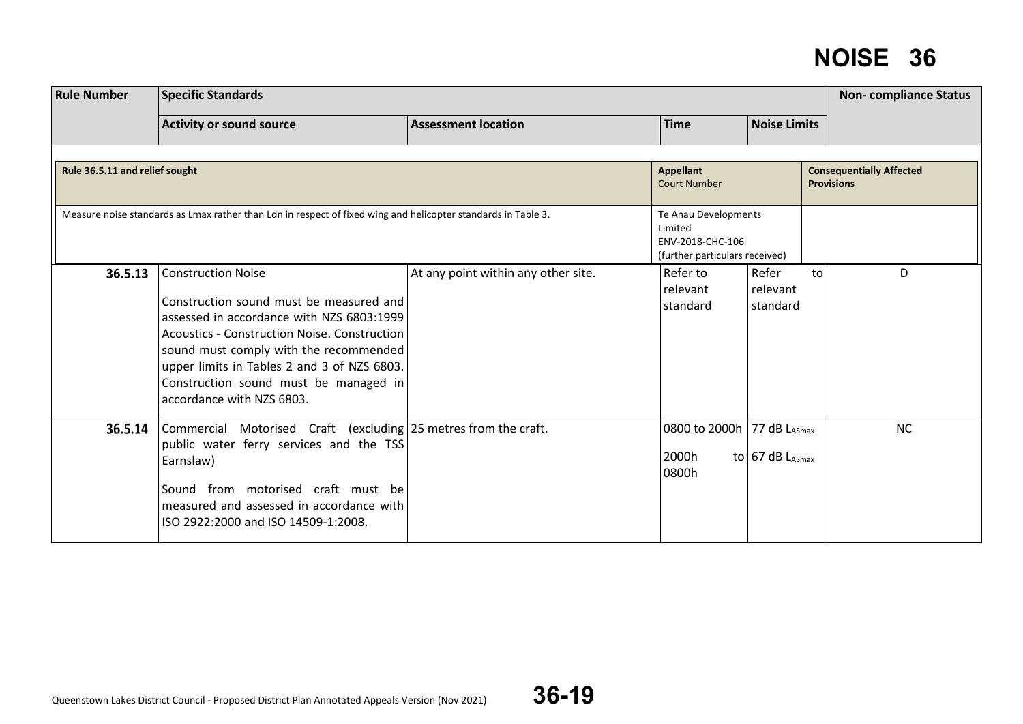| <b>Rule Number</b>             |                                                                                                                                                                                                                                                                                                                                  | <b>Non-compliance Status</b>        |                                                                                       |                               |    |                                                      |
|--------------------------------|----------------------------------------------------------------------------------------------------------------------------------------------------------------------------------------------------------------------------------------------------------------------------------------------------------------------------------|-------------------------------------|---------------------------------------------------------------------------------------|-------------------------------|----|------------------------------------------------------|
|                                | <b>Activity or sound source</b>                                                                                                                                                                                                                                                                                                  | <b>Assessment location</b>          | <b>Time</b>                                                                           | <b>Noise Limits</b>           |    |                                                      |
| Rule 36.5.11 and relief sought |                                                                                                                                                                                                                                                                                                                                  |                                     | <b>Appellant</b><br><b>Court Number</b>                                               |                               |    | <b>Consequentially Affected</b><br><b>Provisions</b> |
|                                | Measure noise standards as Lmax rather than Ldn in respect of fixed wing and helicopter standards in Table 3.                                                                                                                                                                                                                    |                                     | Te Anau Developments<br>Limited<br>ENV-2018-CHC-106<br>(further particulars received) |                               |    |                                                      |
| 36.5.13                        | <b>Construction Noise</b><br>Construction sound must be measured and<br>assessed in accordance with NZS 6803:1999<br>Acoustics - Construction Noise. Construction<br>sound must comply with the recommended<br>upper limits in Tables 2 and 3 of NZS 6803.<br>Construction sound must be managed in<br>accordance with NZS 6803. | At any point within any other site. | Refer to<br>relevant<br>standard                                                      | Refer<br>relevant<br>standard | to | D                                                    |
| 36.5.14                        | Commercial Motorised Craft (excluding 25 metres from the craft.<br>public water ferry services and the TSS<br>Earnslaw)<br>Sound from motorised craft must be<br>measured and assessed in accordance with<br>ISO 2922:2000 and ISO 14509-1:2008.                                                                                 |                                     | 0800 to 2000h 77 dB LASmax<br>2000h<br>0800h                                          | to 67 dB $L_{ASmax}$          |    | <b>NC</b>                                            |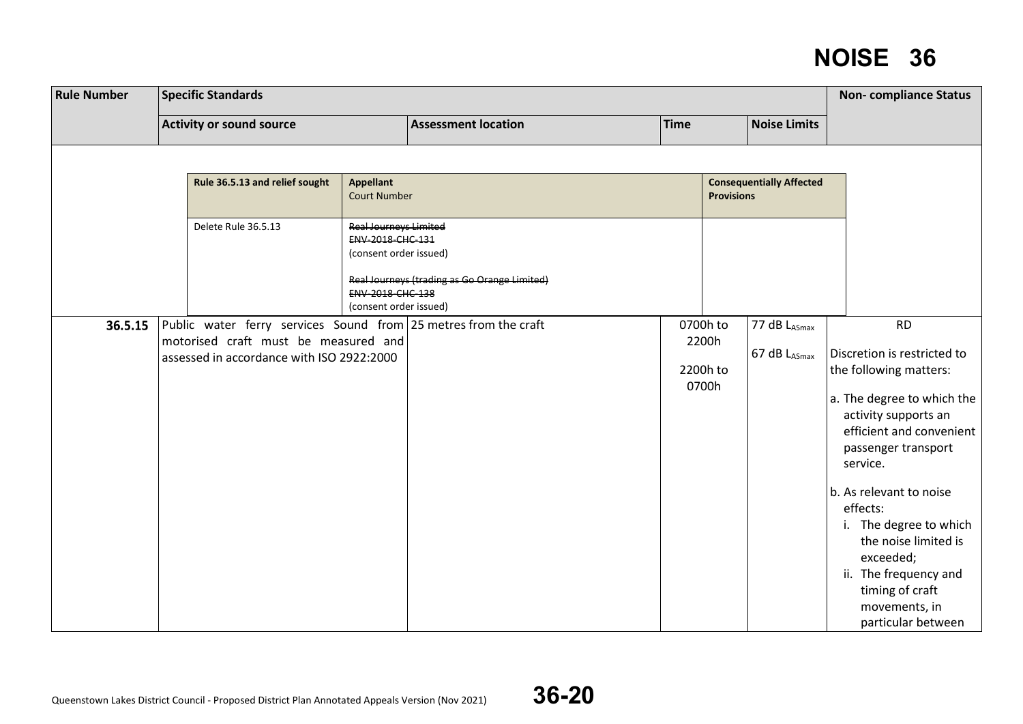| <b>Rule Number</b> | <b>Specific Standards</b> |                                                                                                                                                      |                                                                                                                                 |                                              |             |                                        | <b>Non-compliance Status</b>    |                                                                                                                                                                                                                                                                                                                                                                                  |
|--------------------|---------------------------|------------------------------------------------------------------------------------------------------------------------------------------------------|---------------------------------------------------------------------------------------------------------------------------------|----------------------------------------------|-------------|----------------------------------------|---------------------------------|----------------------------------------------------------------------------------------------------------------------------------------------------------------------------------------------------------------------------------------------------------------------------------------------------------------------------------------------------------------------------------|
|                    |                           | <b>Activity or sound source</b>                                                                                                                      |                                                                                                                                 | <b>Assessment location</b>                   | <b>Time</b> |                                        | <b>Noise Limits</b>             |                                                                                                                                                                                                                                                                                                                                                                                  |
|                    |                           |                                                                                                                                                      |                                                                                                                                 |                                              |             |                                        |                                 |                                                                                                                                                                                                                                                                                                                                                                                  |
|                    |                           | Rule 36.5.13 and relief sought                                                                                                                       | <b>Appellant</b><br><b>Court Number</b>                                                                                         |                                              |             | <b>Provisions</b>                      | <b>Consequentially Affected</b> |                                                                                                                                                                                                                                                                                                                                                                                  |
|                    |                           | Delete Rule 36.5.13                                                                                                                                  | <b>Real Journeys Limited</b><br>ENV 2018 CHC 131<br>(consent order issued)<br><b>ENV 2018 CHC 138</b><br>(consent order issued) | Real Journeys (trading as Go Orange Limited) |             |                                        |                                 |                                                                                                                                                                                                                                                                                                                                                                                  |
| 36.5.15            |                           | Public water ferry services Sound from 25 metres from the craft<br>motorised craft must be measured and<br>assessed in accordance with ISO 2922:2000 |                                                                                                                                 |                                              |             | 0700h to<br>2200h<br>2200h to<br>0700h | 77 dB LASmax<br>67 dB LASmax    | <b>RD</b><br>Discretion is restricted to<br>the following matters:<br>a. The degree to which the<br>activity supports an<br>efficient and convenient<br>passenger transport<br>service.<br>b. As relevant to noise<br>effects:<br>i. The degree to which<br>the noise limited is<br>exceeded;<br>ii. The frequency and<br>timing of craft<br>movements, in<br>particular between |

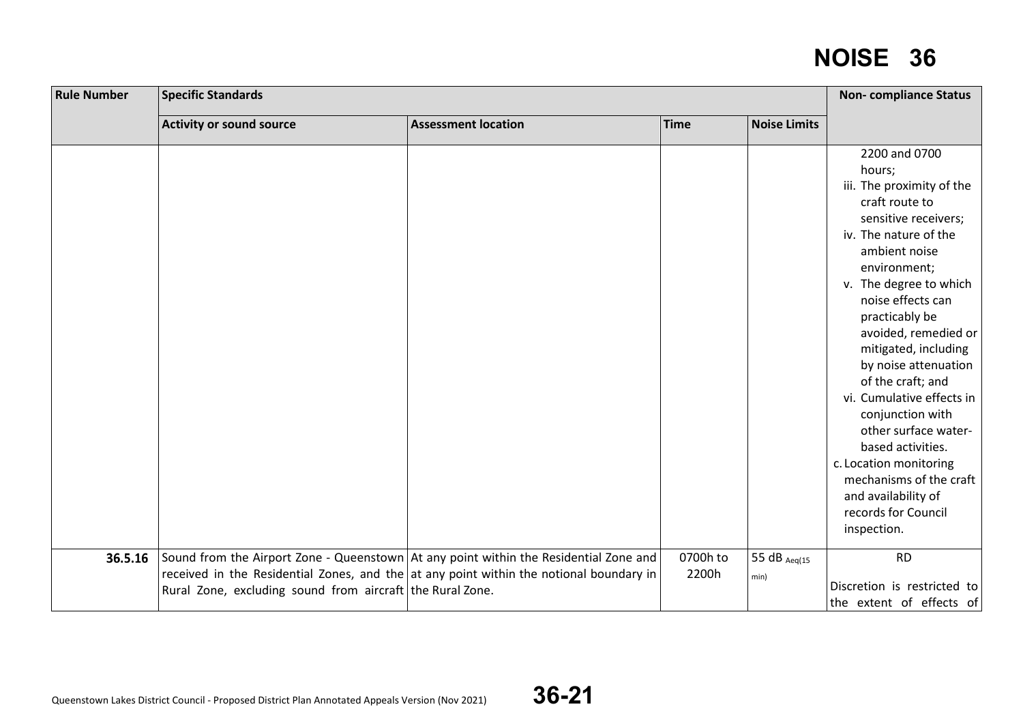| <b>Rule Number</b> | <b>Specific Standards</b>                                 |                                                                                                                                                                                  |                   |                      |                                                                                                                                                                                         |  |  |  |
|--------------------|-----------------------------------------------------------|----------------------------------------------------------------------------------------------------------------------------------------------------------------------------------|-------------------|----------------------|-----------------------------------------------------------------------------------------------------------------------------------------------------------------------------------------|--|--|--|
|                    | <b>Activity or sound source</b>                           | <b>Assessment location</b>                                                                                                                                                       | Time              | <b>Noise Limits</b>  |                                                                                                                                                                                         |  |  |  |
|                    |                                                           |                                                                                                                                                                                  |                   |                      | 2200 and 0700<br>hours;<br>iii. The proximity of the<br>craft route to<br>sensitive receivers;<br>iv. The nature of the<br>ambient noise<br>environment;                                |  |  |  |
|                    |                                                           |                                                                                                                                                                                  |                   |                      | v. The degree to which<br>noise effects can<br>practicably be<br>avoided, remedied or<br>mitigated, including<br>by noise attenuation<br>of the craft; and<br>vi. Cumulative effects in |  |  |  |
|                    |                                                           |                                                                                                                                                                                  |                   |                      | conjunction with<br>other surface water-<br>based activities.<br>c. Location monitoring<br>mechanisms of the craft<br>and availability of<br>records for Council<br>inspection.         |  |  |  |
| 36.5.16            | Rural Zone, excluding sound from aircraft the Rural Zone. | Sound from the Airport Zone - Queenstown At any point within the Residential Zone and<br>received in the Residential Zones, and the at any point within the notional boundary in | 0700h to<br>2200h | 55 dB Aeq(15<br>min) | <b>RD</b><br>Discretion is restricted to<br>the extent of effects of                                                                                                                    |  |  |  |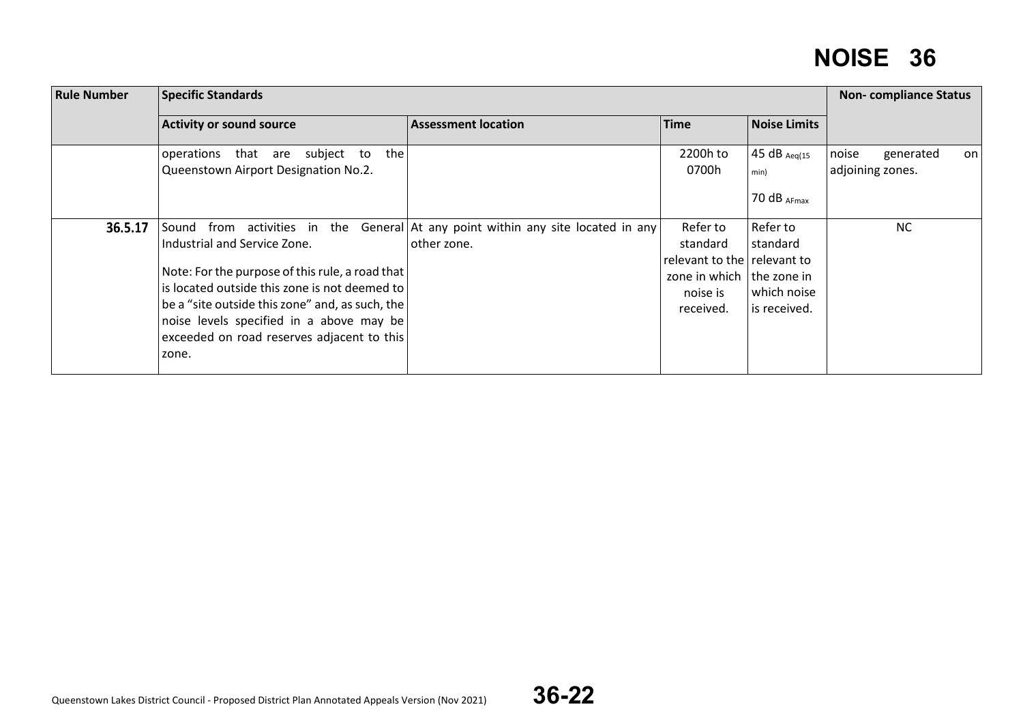| <b>Rule Number</b> | <b>Specific Standards</b>                                                                                                                                                                                                                                                                                                    |                                                                    |                                                                                                             |                                                     | <b>Non-compliance Status</b>                 |  |
|--------------------|------------------------------------------------------------------------------------------------------------------------------------------------------------------------------------------------------------------------------------------------------------------------------------------------------------------------------|--------------------------------------------------------------------|-------------------------------------------------------------------------------------------------------------|-----------------------------------------------------|----------------------------------------------|--|
|                    | <b>Activity or sound source</b>                                                                                                                                                                                                                                                                                              | <b>Assessment location</b>                                         | <b>Time</b>                                                                                                 | <b>Noise Limits</b>                                 |                                              |  |
|                    | subject to<br>that are<br>the<br>operations<br>Queenstown Airport Designation No.2.                                                                                                                                                                                                                                          |                                                                    | 2200h to<br>0700h                                                                                           | 45 dB $_{Aeq(15)}$<br>min)<br>70 $dB$ AFmax         | noise<br>generated<br>on<br>adjoining zones. |  |
| 36.5.17            | from activities in<br>the<br>Sound<br>Industrial and Service Zone.<br>Note: For the purpose of this rule, a road that<br>is located outside this zone is not deemed to<br>be a "site outside this zone" and, as such, the<br>noise levels specified in a above may be<br>exceeded on road reserves adjacent to this<br>zone. | General At any point within any site located in any<br>other zone. | Refer to<br>standard<br>relevant to the relevant to<br>zone in which   the zone in<br>noise is<br>received. | Refer to<br>standard<br>which noise<br>is received. | <b>NC</b>                                    |  |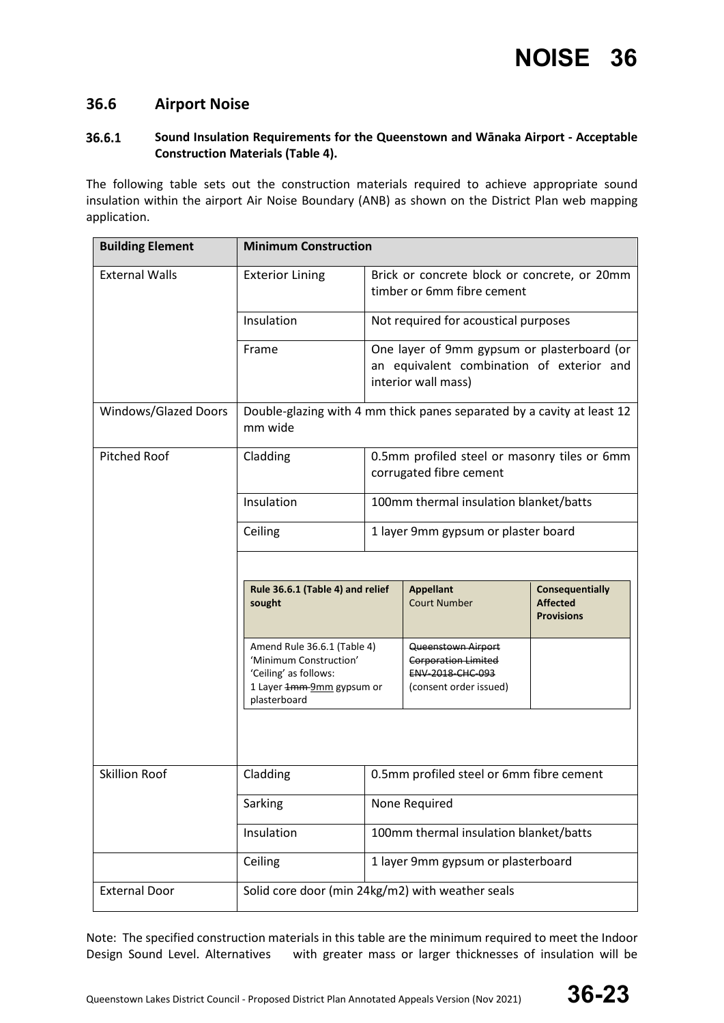#### **36.6 Airport Noise**

#### 36.6.1 **Sound Insulation Requirements for the Queenstown and Wānaka Airport - Acceptable Construction Materials (Table 4).**

The following table sets out the construction materials required to achieve appropriate sound insulation within the airport Air Noise Boundary (ANB) as shown on the District Plan web mapping application.

| <b>Building Element</b>         | <b>Minimum Construction</b>                                                                                                 |                                                                         |                                                                                                                 |                                                                |  |
|---------------------------------|-----------------------------------------------------------------------------------------------------------------------------|-------------------------------------------------------------------------|-----------------------------------------------------------------------------------------------------------------|----------------------------------------------------------------|--|
| <b>External Walls</b>           | <b>Exterior Lining</b><br>Brick or concrete block or concrete, or 20mm<br>timber or 6mm fibre cement                        |                                                                         |                                                                                                                 |                                                                |  |
|                                 | Insulation                                                                                                                  |                                                                         | Not required for acoustical purposes                                                                            |                                                                |  |
|                                 | Frame                                                                                                                       |                                                                         | One layer of 9mm gypsum or plasterboard (or<br>an equivalent combination of exterior and<br>interior wall mass) |                                                                |  |
| Windows/Glazed Doors            | Double-glazing with 4 mm thick panes separated by a cavity at least 12<br>mm wide                                           |                                                                         |                                                                                                                 |                                                                |  |
| <b>Pitched Roof</b><br>Cladding |                                                                                                                             | 0.5mm profiled steel or masonry tiles or 6mm<br>corrugated fibre cement |                                                                                                                 |                                                                |  |
|                                 | Insulation                                                                                                                  | 100mm thermal insulation blanket/batts                                  |                                                                                                                 |                                                                |  |
|                                 | Ceiling                                                                                                                     | 1 layer 9mm gypsum or plaster board                                     |                                                                                                                 |                                                                |  |
|                                 |                                                                                                                             |                                                                         |                                                                                                                 |                                                                |  |
|                                 | Rule 36.6.1 (Table 4) and relief<br>sought                                                                                  |                                                                         | <b>Appellant</b><br><b>Court Number</b>                                                                         | <b>Consequentially</b><br><b>Affected</b><br><b>Provisions</b> |  |
|                                 | Amend Rule 36.6.1 (Table 4)<br>'Minimum Construction'<br>'Ceiling' as follows:<br>1 Layer 1mm-9mm gypsum or<br>plasterboard |                                                                         | Queenstown Airport<br><b>Corporation Limited</b><br>ENV-2018-CHC-093<br>(consent order issued)                  |                                                                |  |
|                                 |                                                                                                                             |                                                                         |                                                                                                                 |                                                                |  |
| <b>Skillion Roof</b>            | Cladding                                                                                                                    | 0.5mm profiled steel or 6mm fibre cement                                |                                                                                                                 |                                                                |  |
|                                 | Sarking                                                                                                                     | None Required                                                           |                                                                                                                 |                                                                |  |
|                                 | Insulation                                                                                                                  |                                                                         | 100mm thermal insulation blanket/batts                                                                          |                                                                |  |
|                                 | Ceiling                                                                                                                     | 1 layer 9mm gypsum or plasterboard                                      |                                                                                                                 |                                                                |  |
| <b>External Door</b>            | Solid core door (min 24kg/m2) with weather seals                                                                            |                                                                         |                                                                                                                 |                                                                |  |

Note: The specified construction materials in this table are the minimum required to meet the Indoor Design Sound Level. Alternatives with greater mass or larger thicknesses of insulation will be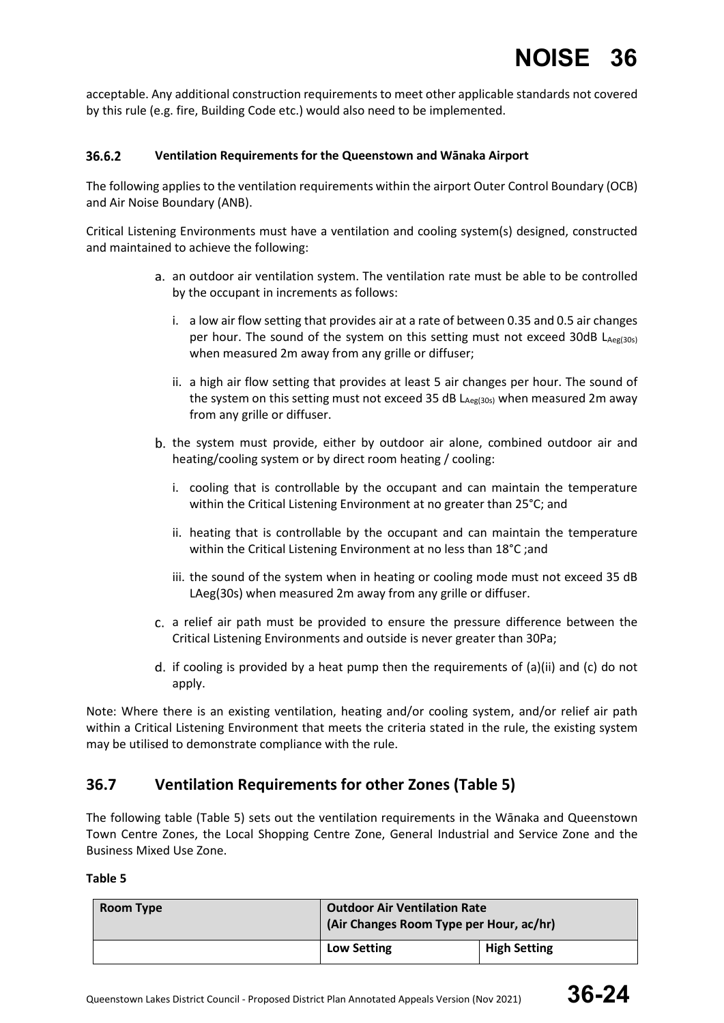acceptable. Any additional construction requirements to meet other applicable standards not covered by this rule (e.g. fire, Building Code etc.) would also need to be implemented.

#### 36.6.2 **Ventilation Requirements for the Queenstown and Wānaka Airport**

The following applies to the ventilation requirements within the airport Outer Control Boundary (OCB) and Air Noise Boundary (ANB).

Critical Listening Environments must have a ventilation and cooling system(s) designed, constructed and maintained to achieve the following:

- an outdoor air ventilation system. The ventilation rate must be able to be controlled by the occupant in increments as follows:
	- i. a low air flow setting that provides air at a rate of between 0.35 and 0.5 air changes per hour. The sound of the system on this setting must not exceed 30dB LAeg(30s) when measured 2m away from any grille or diffuser;
	- ii. a high air flow setting that provides at least 5 air changes per hour. The sound of the system on this setting must not exceed 35 dB  $L_{\text{Aeg(30s)}}$  when measured 2m away from any grille or diffuser.
- b. the system must provide, either by outdoor air alone, combined outdoor air and heating/cooling system or by direct room heating / cooling:
	- i. cooling that is controllable by the occupant and can maintain the temperature within the Critical Listening Environment at no greater than 25°C; and
	- ii. heating that is controllable by the occupant and can maintain the temperature within the Critical Listening Environment at no less than 18°C ;and
	- iii. the sound of the system when in heating or cooling mode must not exceed 35 dB LAeg(30s) when measured 2m away from any grille or diffuser.
- a relief air path must be provided to ensure the pressure difference between the Critical Listening Environments and outside is never greater than 30Pa;
- d. if cooling is provided by a heat pump then the requirements of (a)(ii) and (c) do not apply.

Note: Where there is an existing ventilation, heating and/or cooling system, and/or relief air path within a Critical Listening Environment that meets the criteria stated in the rule, the existing system may be utilised to demonstrate compliance with the rule.

#### **36.7 Ventilation Requirements for other Zones (Table 5)**

The following table (Table 5) sets out the ventilation requirements in the Wānaka and Queenstown Town Centre Zones, the Local Shopping Centre Zone, General Industrial and Service Zone and the Business Mixed Use Zone.

#### **Table 5**

| Room Type | <b>Outdoor Air Ventilation Rate</b><br>(Air Changes Room Type per Hour, ac/hr) |                     |
|-----------|--------------------------------------------------------------------------------|---------------------|
|           | <b>Low Setting</b>                                                             | <b>High Setting</b> |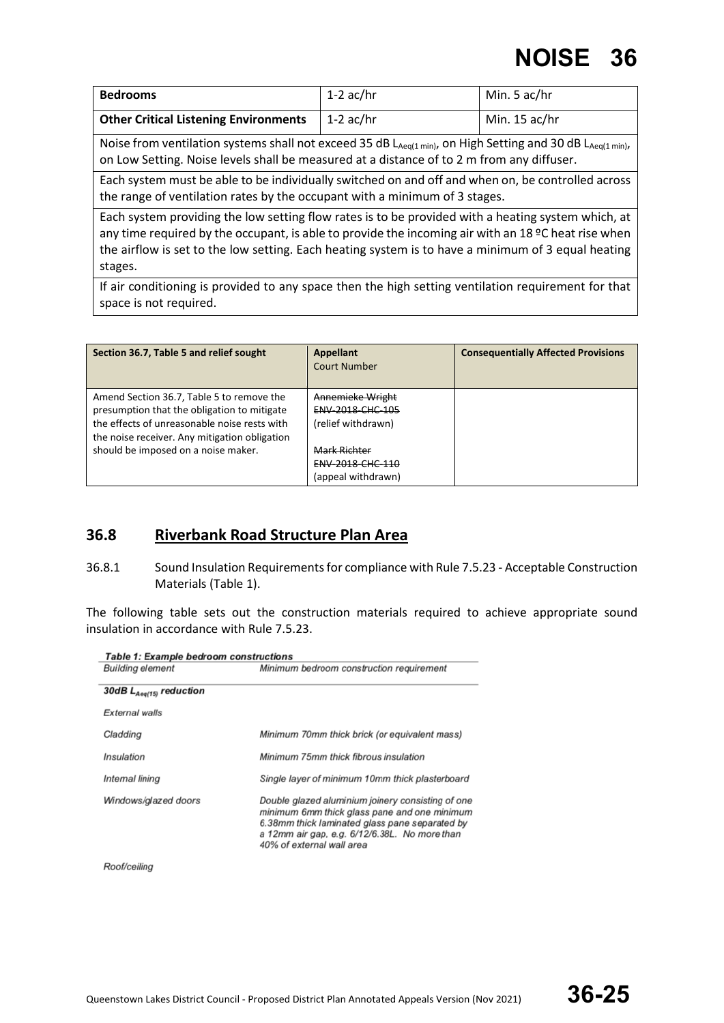| <b>Bedrooms</b>                                                                                                                                                                                                                                                                                                            | $1-2$ ac/hr                                                                                         | Min. 5 ac/hr  |  |
|----------------------------------------------------------------------------------------------------------------------------------------------------------------------------------------------------------------------------------------------------------------------------------------------------------------------------|-----------------------------------------------------------------------------------------------------|---------------|--|
| <b>Other Critical Listening Environments</b>                                                                                                                                                                                                                                                                               | $1-2$ ac/hr                                                                                         | Min. 15 ac/hr |  |
| Noise from ventilation systems shall not exceed 35 dB LAeq(1 min), on High Setting and 30 dB LAeq(1 min),<br>on Low Setting. Noise levels shall be measured at a distance of to 2 m from any diffuser.                                                                                                                     |                                                                                                     |               |  |
| Each system must be able to be individually switched on and off and when on, be controlled across<br>the range of ventilation rates by the occupant with a minimum of 3 stages.                                                                                                                                            |                                                                                                     |               |  |
| Each system providing the low setting flow rates is to be provided with a heating system which, at<br>any time required by the occupant, is able to provide the incoming air with an 18 °C heat rise when<br>the airflow is set to the low setting. Each heating system is to have a minimum of 3 equal heating<br>stages. |                                                                                                     |               |  |
|                                                                                                                                                                                                                                                                                                                            | If air conditioning is provided to any space then the high setting ventilation requirement for that |               |  |

If air conditioning is provided to any space then the high setting ventilation requirement for that space is not required.

| <b>Appellant</b><br><b>Court Number</b>                           | <b>Consequentially Affected Provisions</b> |
|-------------------------------------------------------------------|--------------------------------------------|
| Annemicke Wright<br><b>ENV 2018 CHC 105</b><br>(relief withdrawn) |                                            |
| Mark Richter<br>ENV-2018-CHC-110                                  |                                            |
|                                                                   | (appeal withdrawn)                         |

#### **36.8 Riverbank Road Structure Plan Area**

36.8.1 Sound Insulation Requirements for compliance with Rule 7.5.23 - Acceptable Construction Materials (Table 1).

The following table sets out the construction materials required to achieve appropriate sound insulation in accordance with Rule 7.5.23.

| <b>Building element</b>      | Minimum bedroom construction requirement                                                                                                                                                                                          |  |  |
|------------------------------|-----------------------------------------------------------------------------------------------------------------------------------------------------------------------------------------------------------------------------------|--|--|
| 30dB $L_{Aeq(15)}$ reduction |                                                                                                                                                                                                                                   |  |  |
| External walls               |                                                                                                                                                                                                                                   |  |  |
| Cladding                     | Minimum 70mm thick brick (or equivalent mass)                                                                                                                                                                                     |  |  |
| Insulation                   | Minimum 75mm thick fibrous insulation                                                                                                                                                                                             |  |  |
| Internal lining              | Single layer of minimum 10mm thick plasterboard                                                                                                                                                                                   |  |  |
| Windows/glazed doors         | Double glazed aluminium joinery consisting of one<br>minimum 6mm thick glass pane and one minimum<br>6.38mm thick laminated glass pane separated by<br>a 12mm air gap, e.g. 6/12/6.38L. No more than<br>40% of external wall area |  |  |

Roof/ceiling